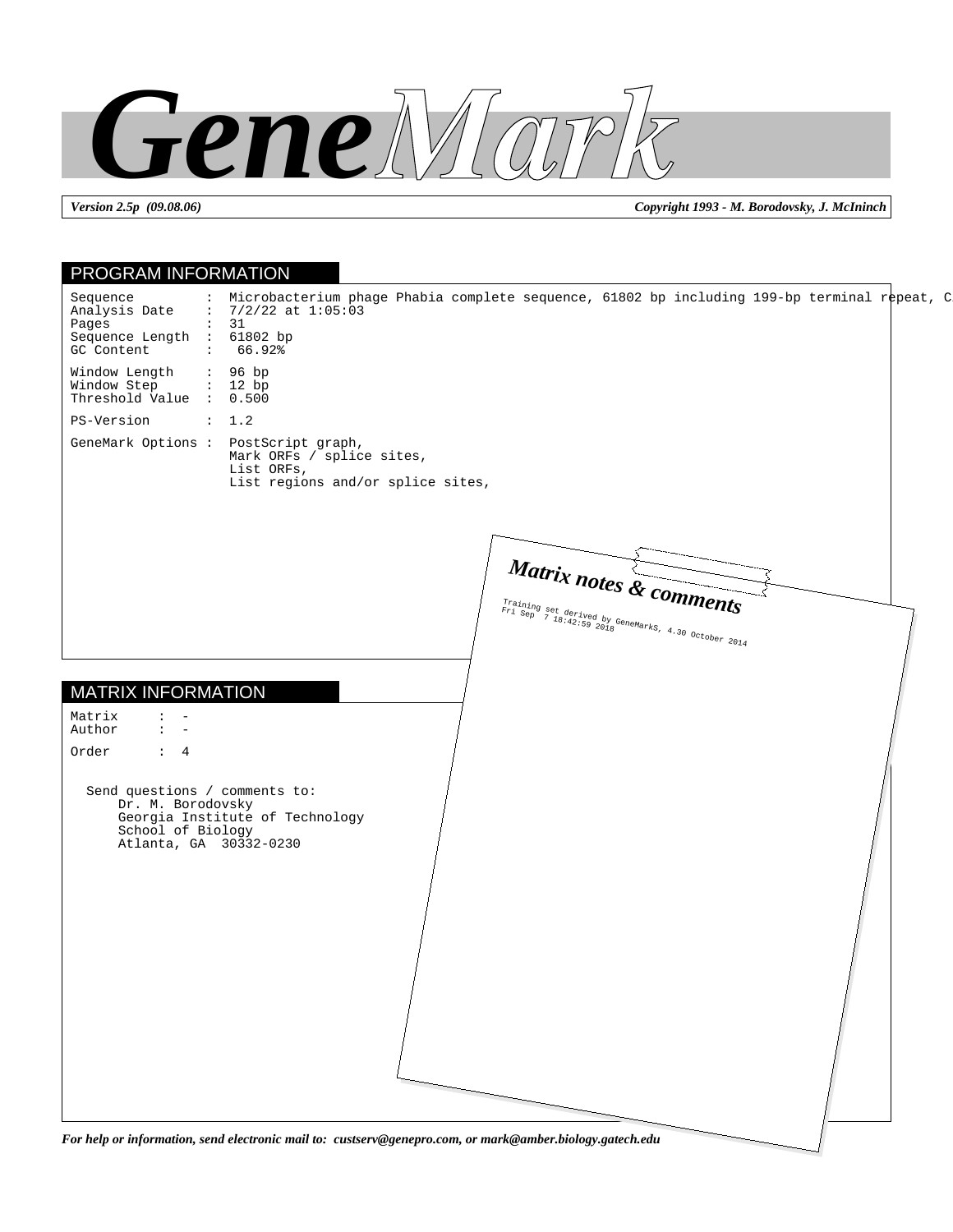

*Version 2.5p (09.08.06) Copyright 1993 - M. Borodovsky, J. McIninch*

| PROGRAM INFORMATION                                                                               |                                                                                                                                                    |
|---------------------------------------------------------------------------------------------------|----------------------------------------------------------------------------------------------------------------------------------------------------|
| Sequence<br>Analysis Date<br>Pages<br>Sequence Length : 61802 bp<br>GC Content                    | : Microbacterium phage Phabia complete sequence, 61802 bp including 199-bp terminal repeat, C<br>: $7/2/22$ at $1:05:03$<br>$\colon$ 31<br>: 66.92 |
| Window Length<br>Window Step<br>Threshold Value : 0.500                                           | : 96 bp<br>: 12 bp                                                                                                                                 |
| PS-Version                                                                                        | : 1.2                                                                                                                                              |
|                                                                                                   | GeneMark Options : PostScript graph,<br>Mark ORFs / splice sites,<br>List ORFs,<br>List regions and/or splice sites,                               |
|                                                                                                   | Matrix notes & comments<br>Training set derived by GeneMarks, 4.30 October 2014                                                                    |
| <b>MATRIX INFORMATION</b>                                                                         |                                                                                                                                                    |
| Matrix<br>$\ddot{\phantom{a}}$<br>Author<br>$\ddot{\phantom{a}}$<br>$\overline{\phantom{m}}$      |                                                                                                                                                    |
| Order<br>$\therefore$ 4                                                                           |                                                                                                                                                    |
| Send questions / comments to:<br>Dr. M. Borodovsky<br>School of Biology<br>Atlanta, GA 30332-0230 | Georgia Institute of Technology                                                                                                                    |
|                                                                                                   |                                                                                                                                                    |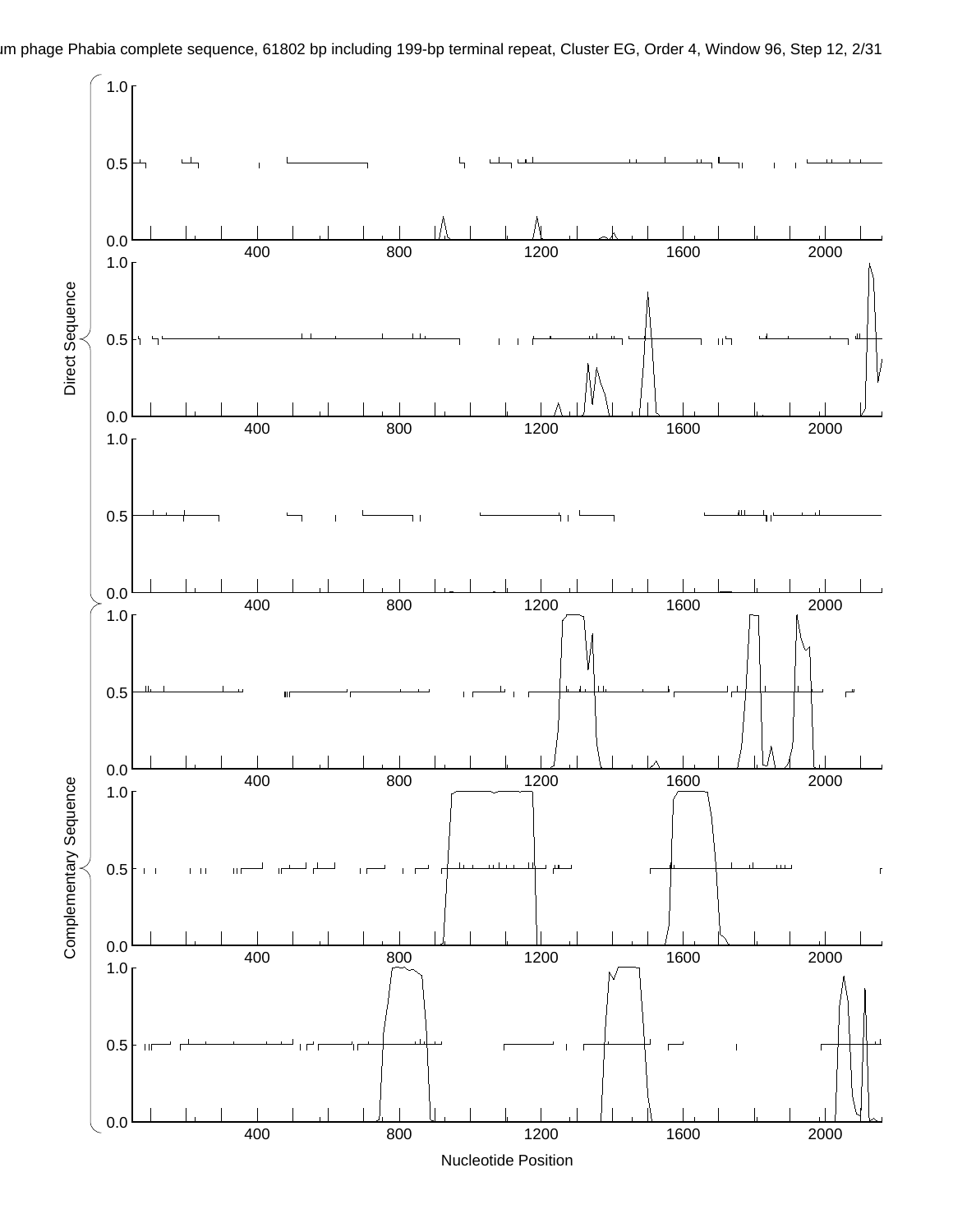

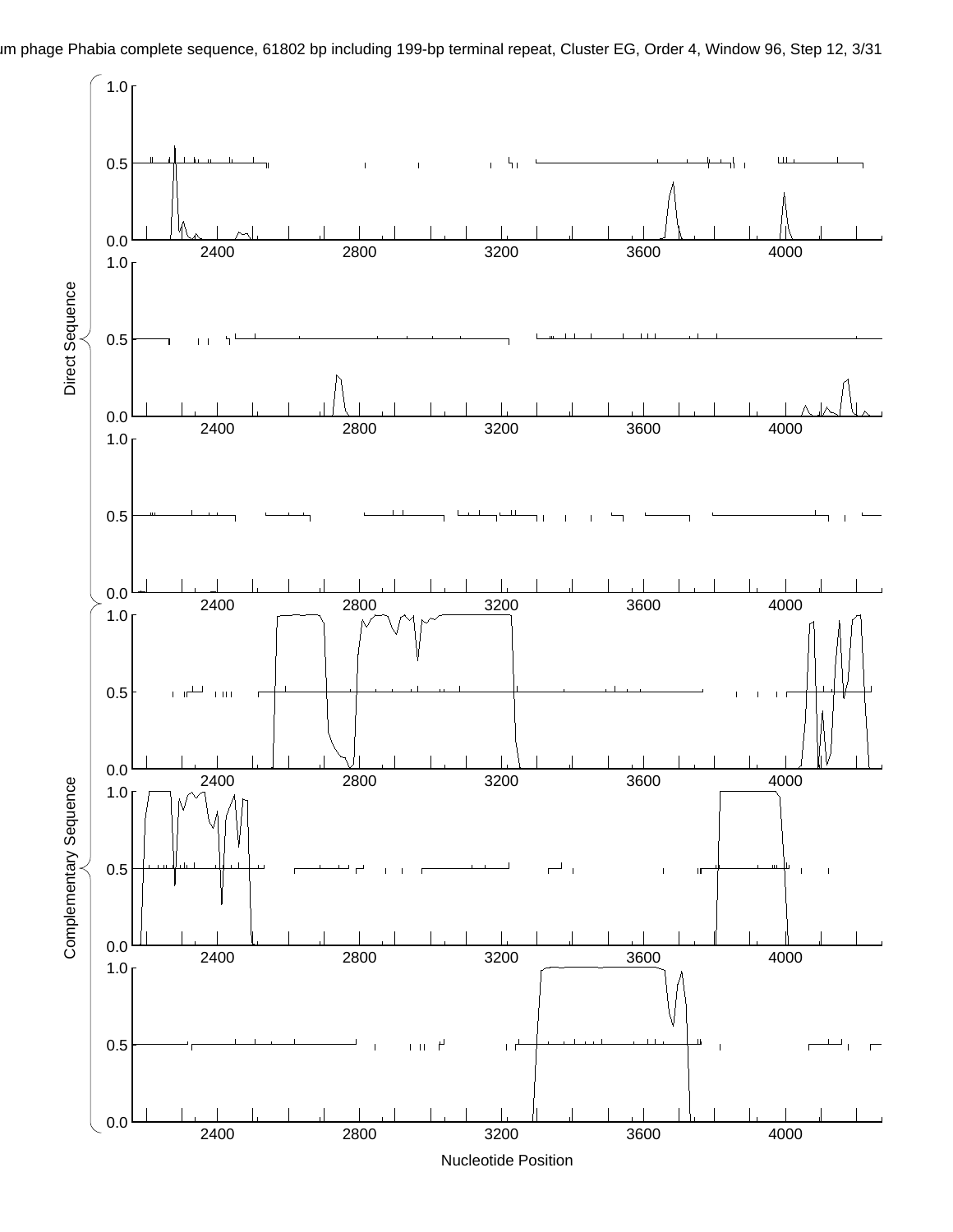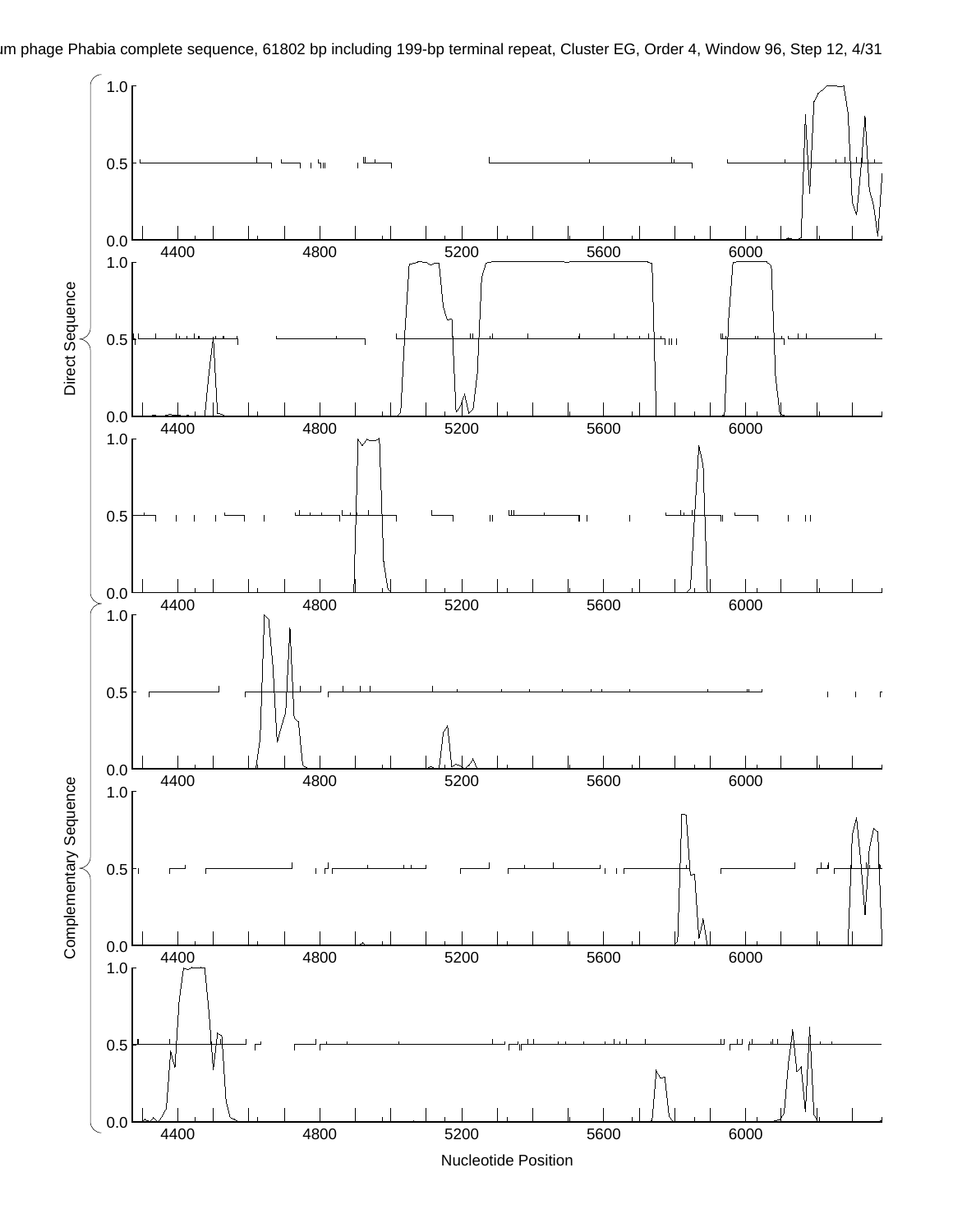

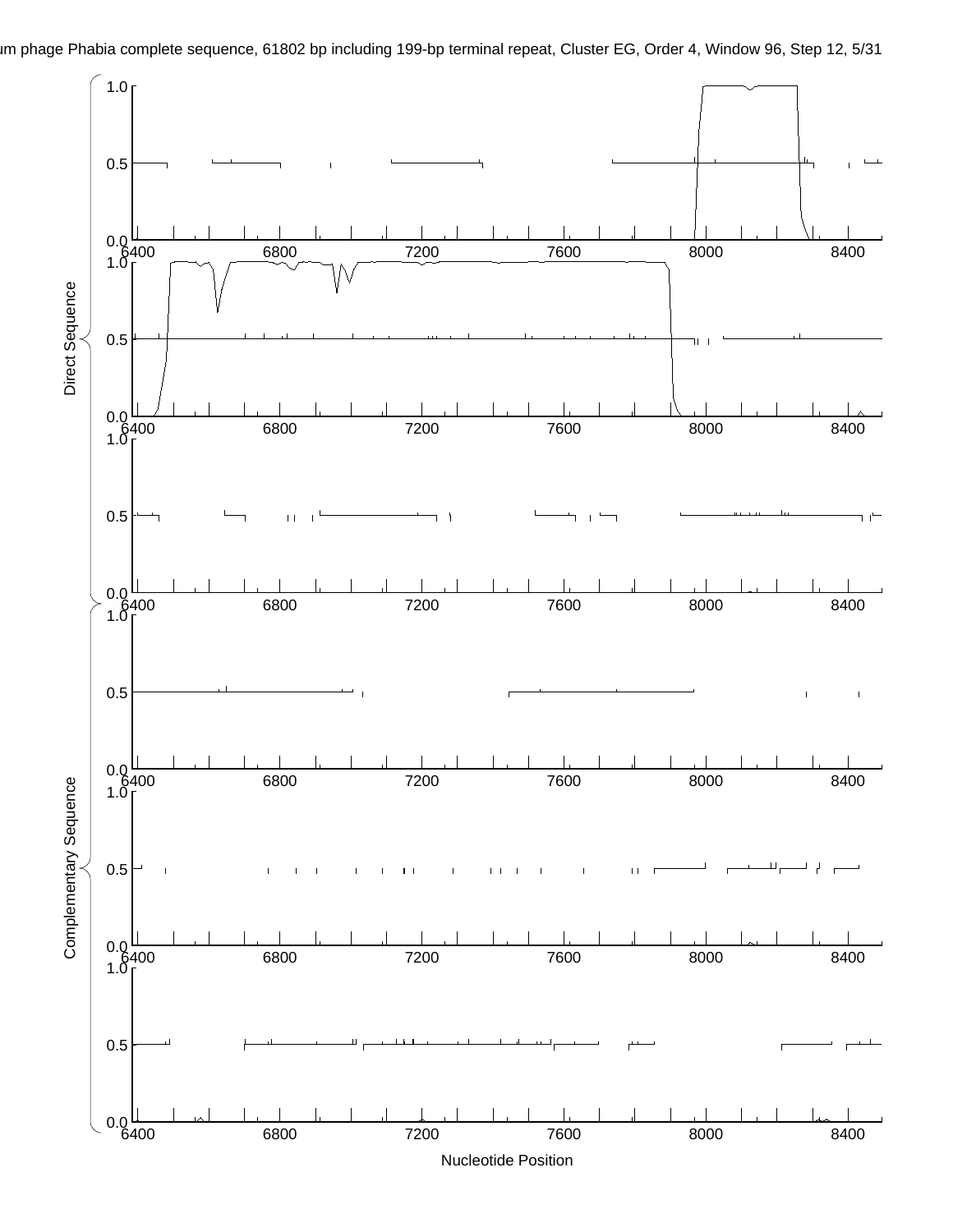

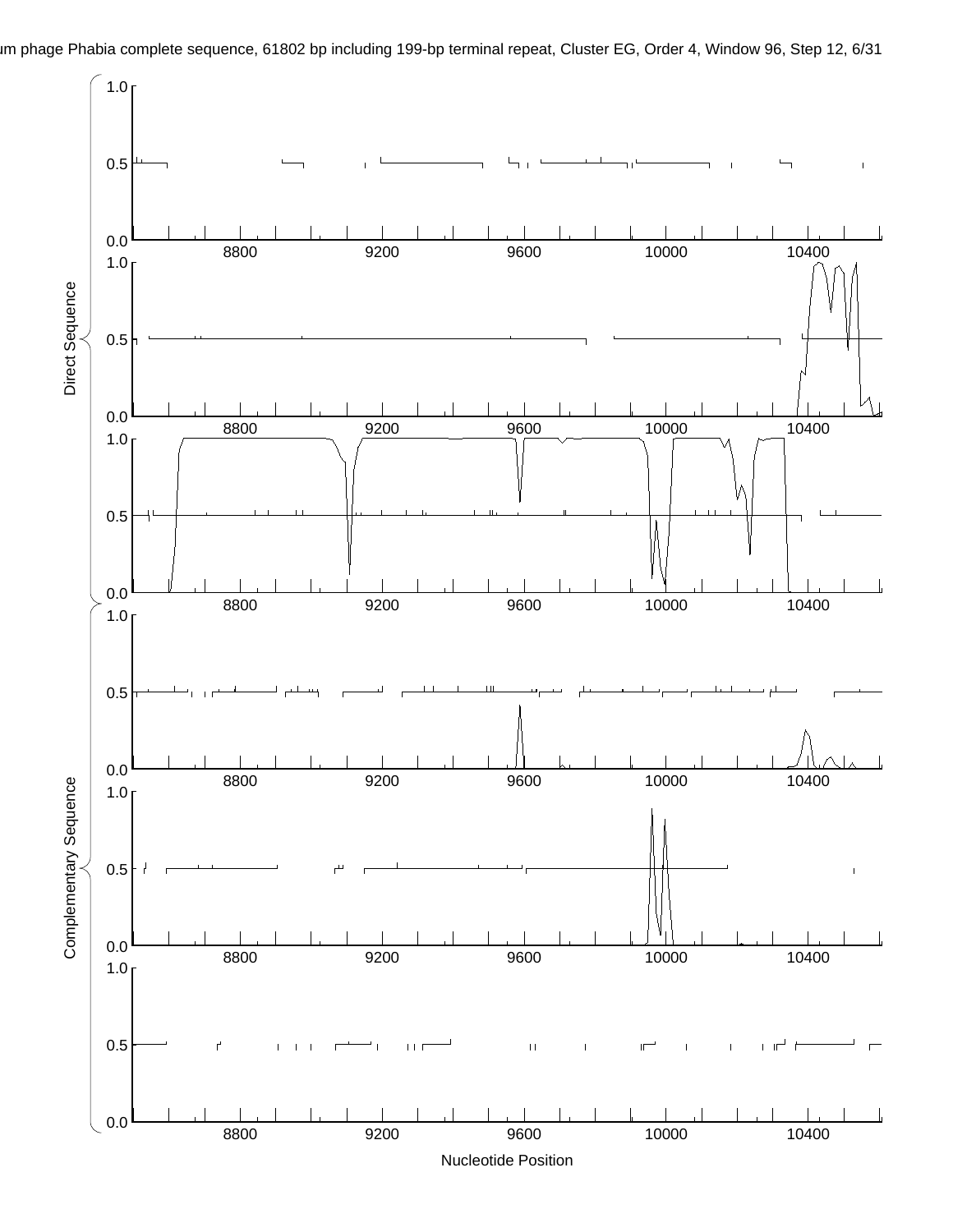

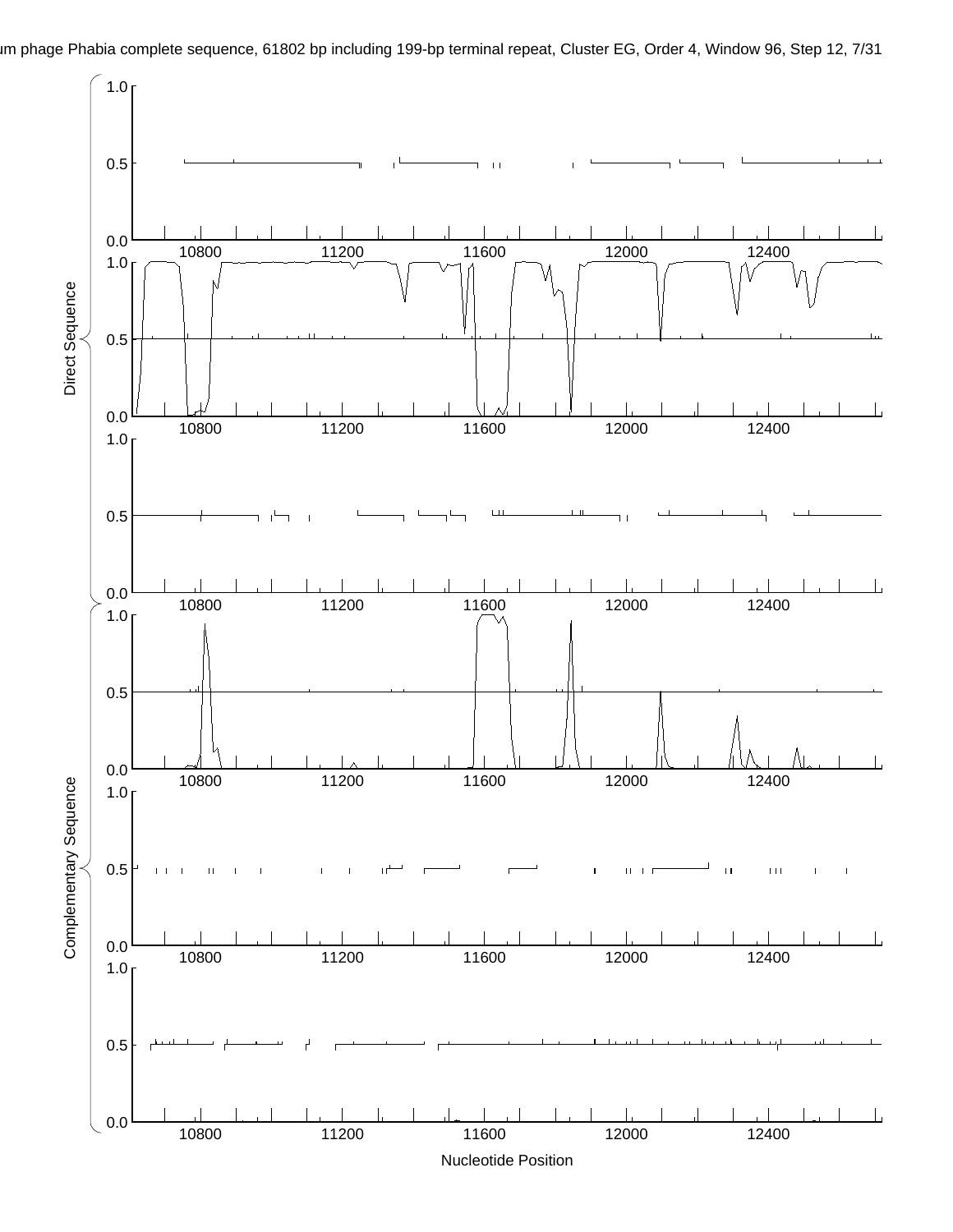im phage Phabia complete sequence, 61802 bp including 199-bp terminal repeat, Cluster EG, Order 4, Window 96, Step 12, 7/31

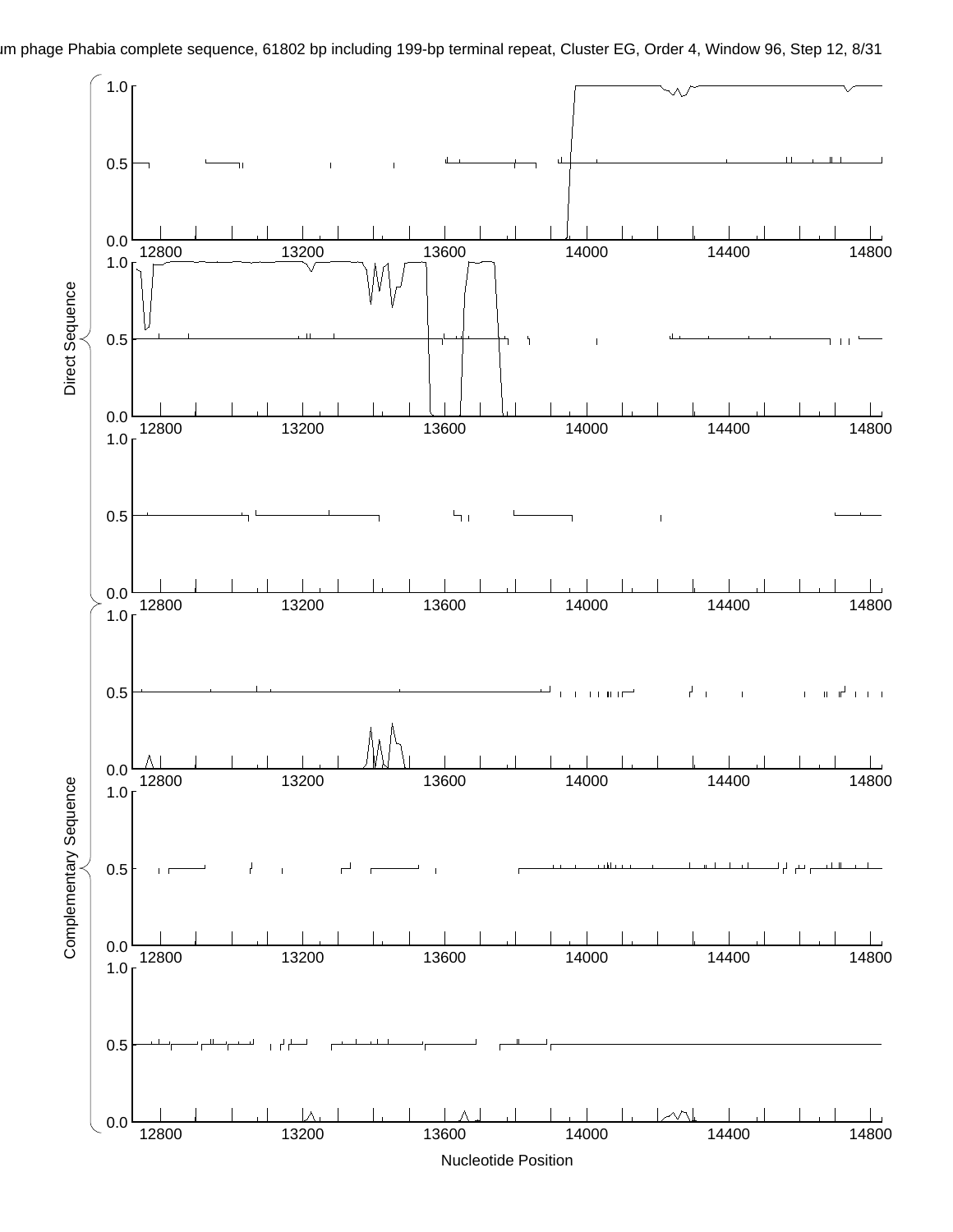

im phage Phabia complete sequence, 61802 bp including 199-bp terminal repeat, Cluster EG, Order 4, Window 96, Step 12, 8/31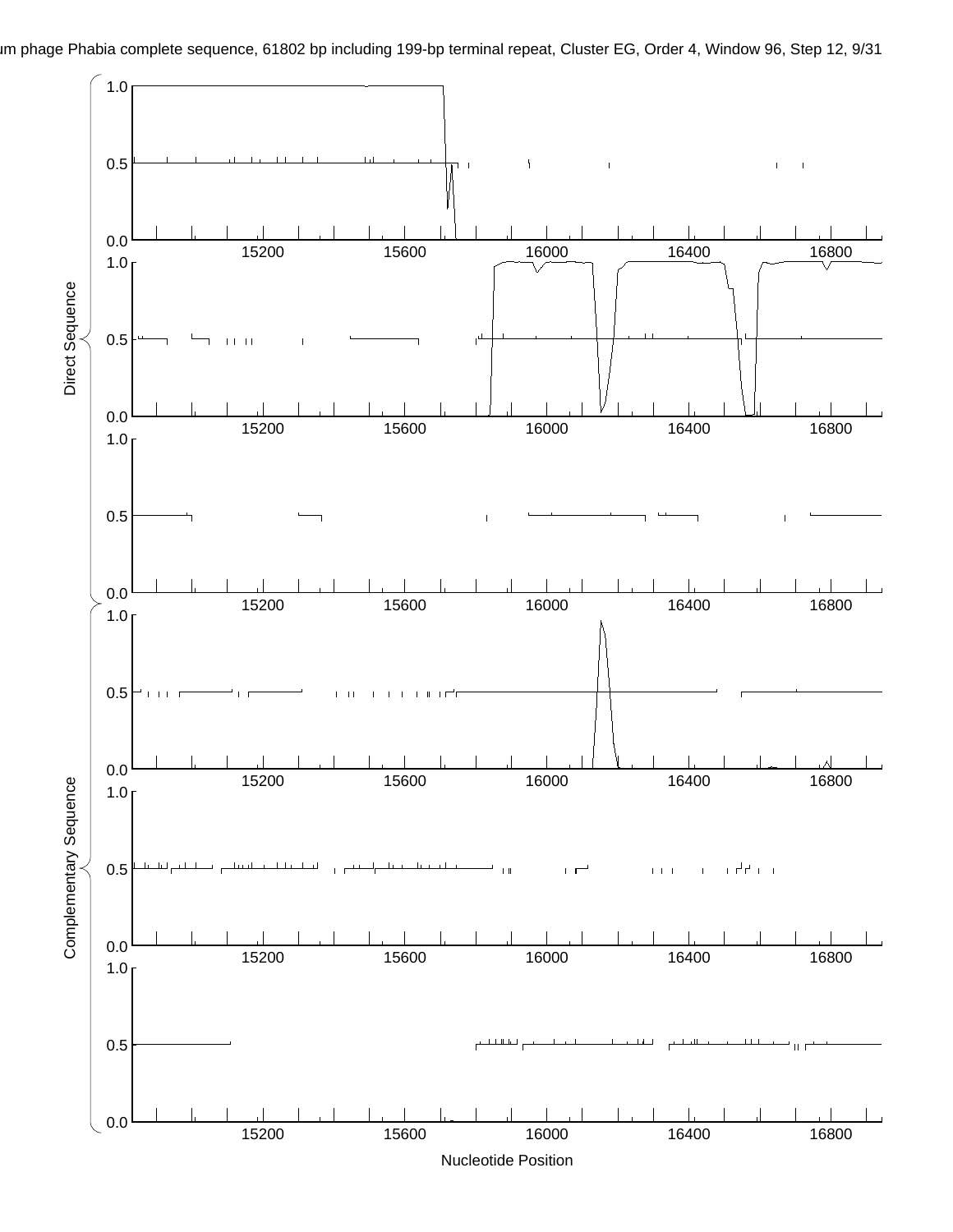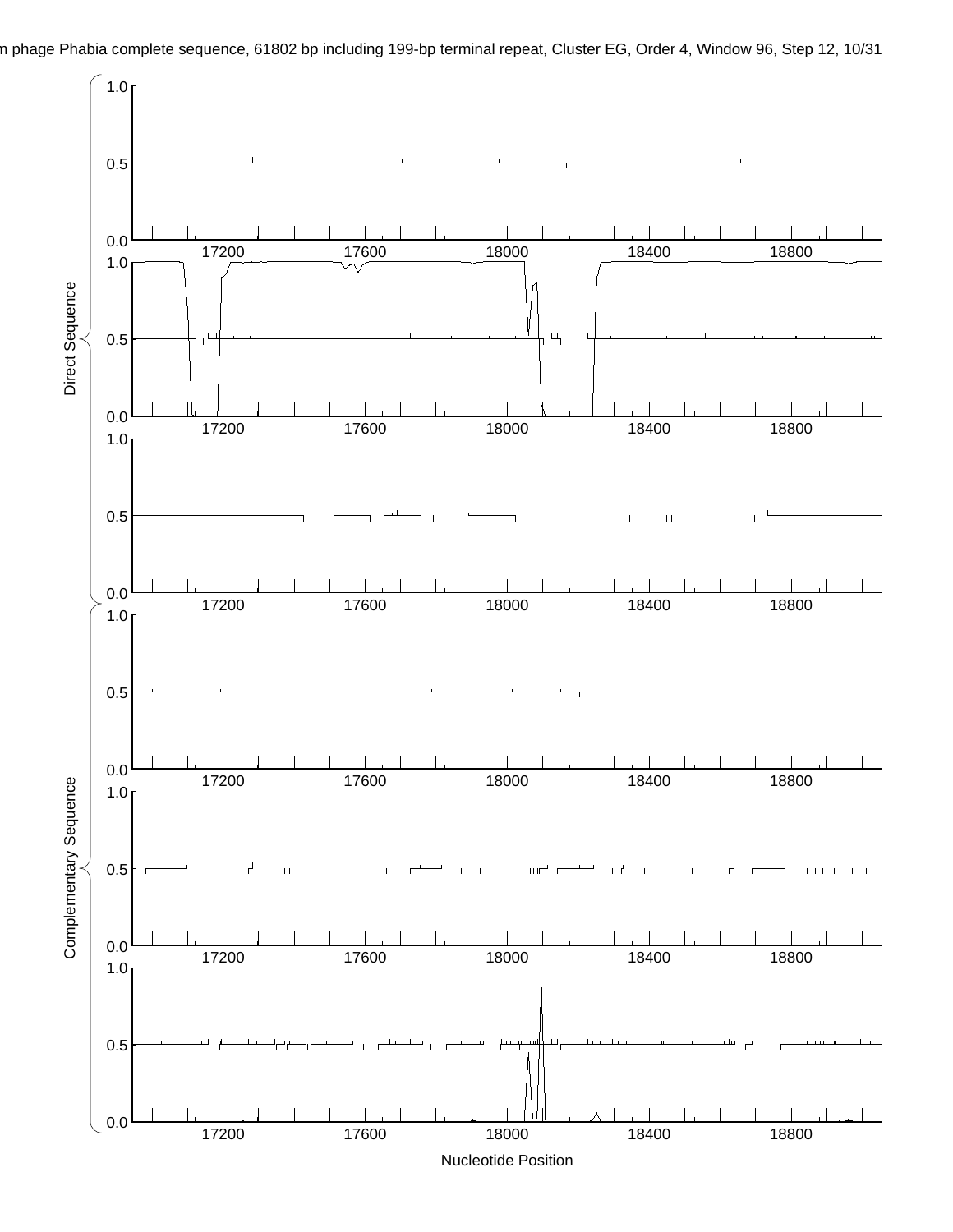n phage Phabia complete sequence, 61802 bp including 199-bp terminal repeat, Cluster EG, Order 4, Window 96, Step 12, 10/31

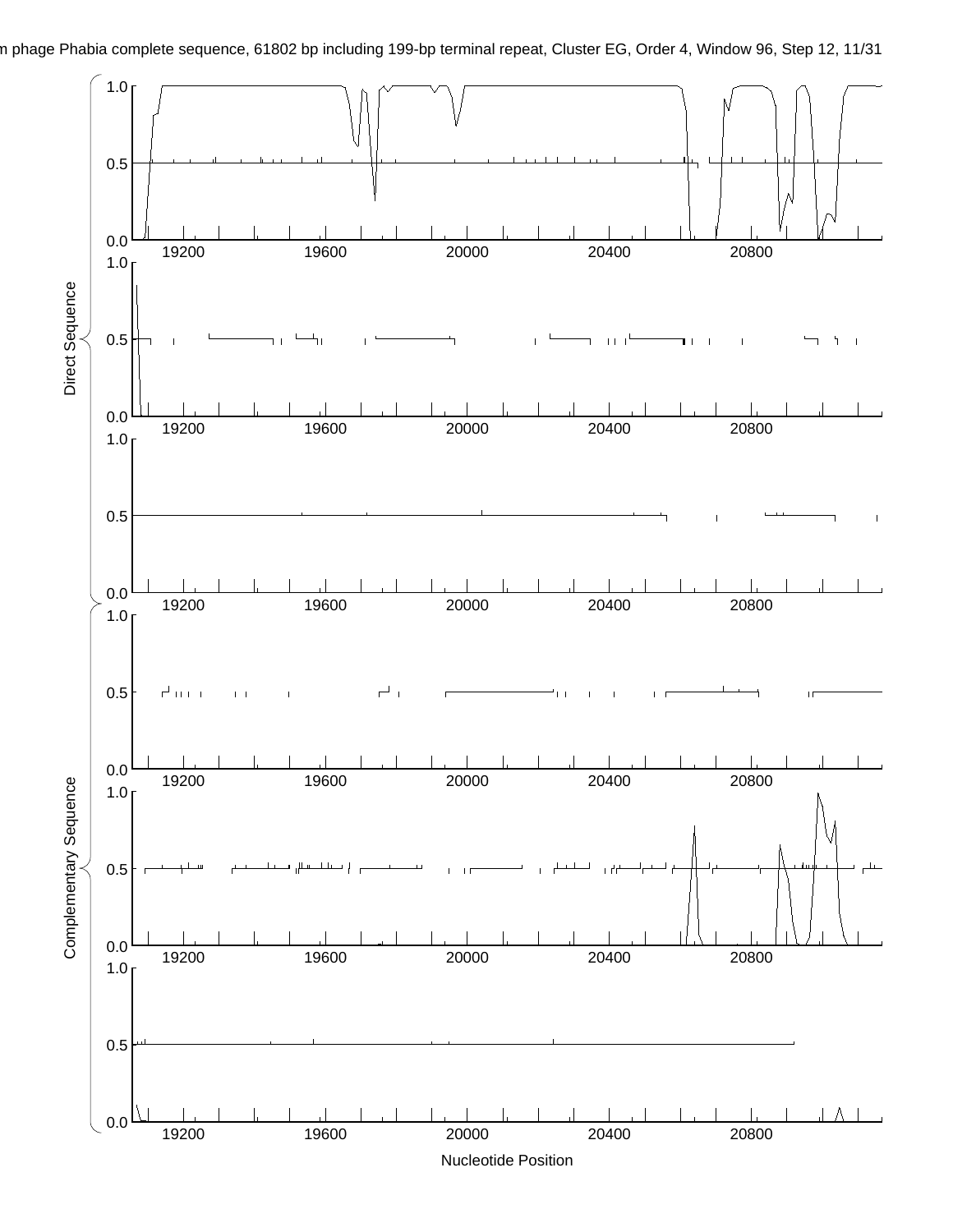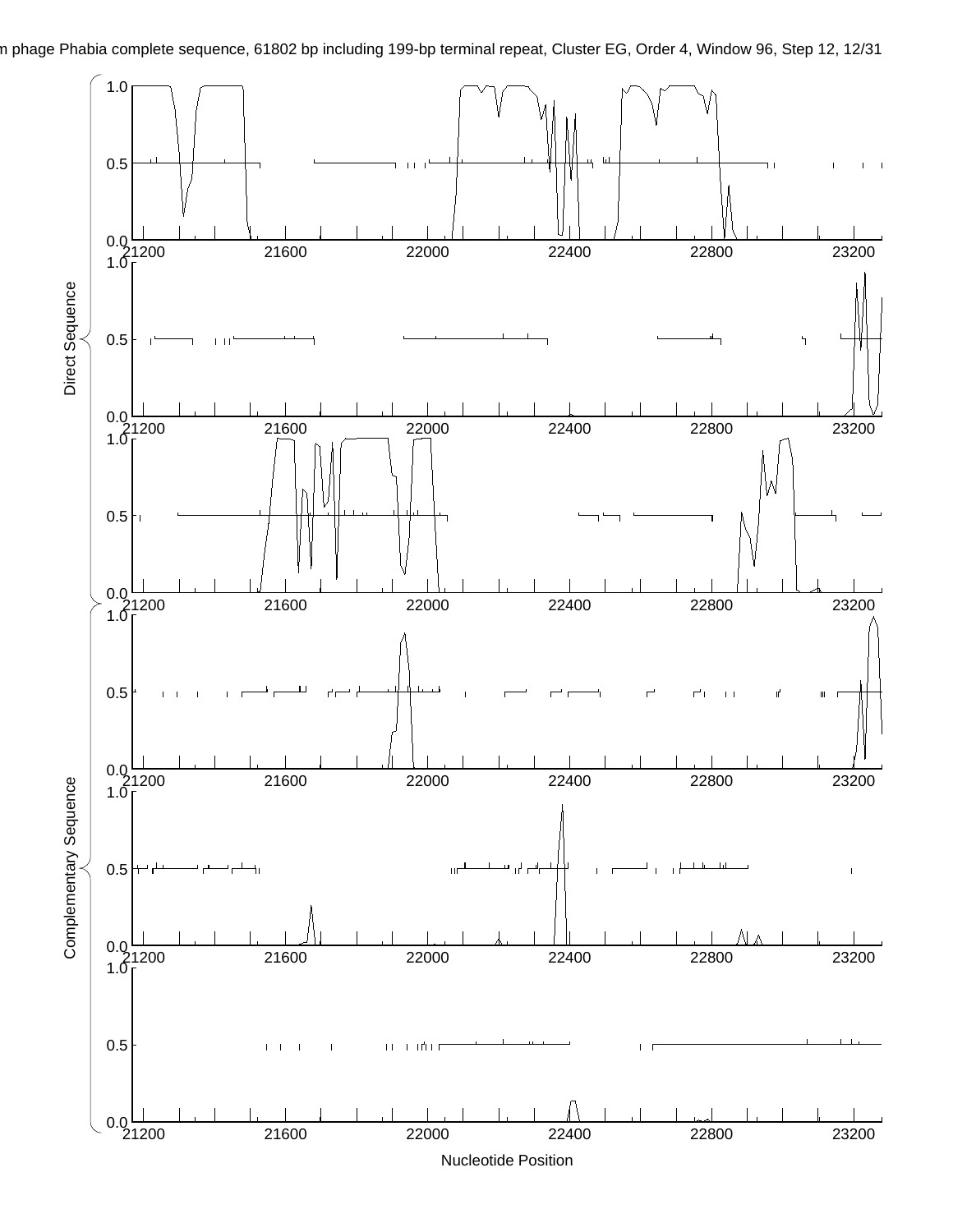n phage Phabia complete sequence, 61802 bp including 199-bp terminal repeat, Cluster EG, Order 4, Window 96, Step 12, 12/31

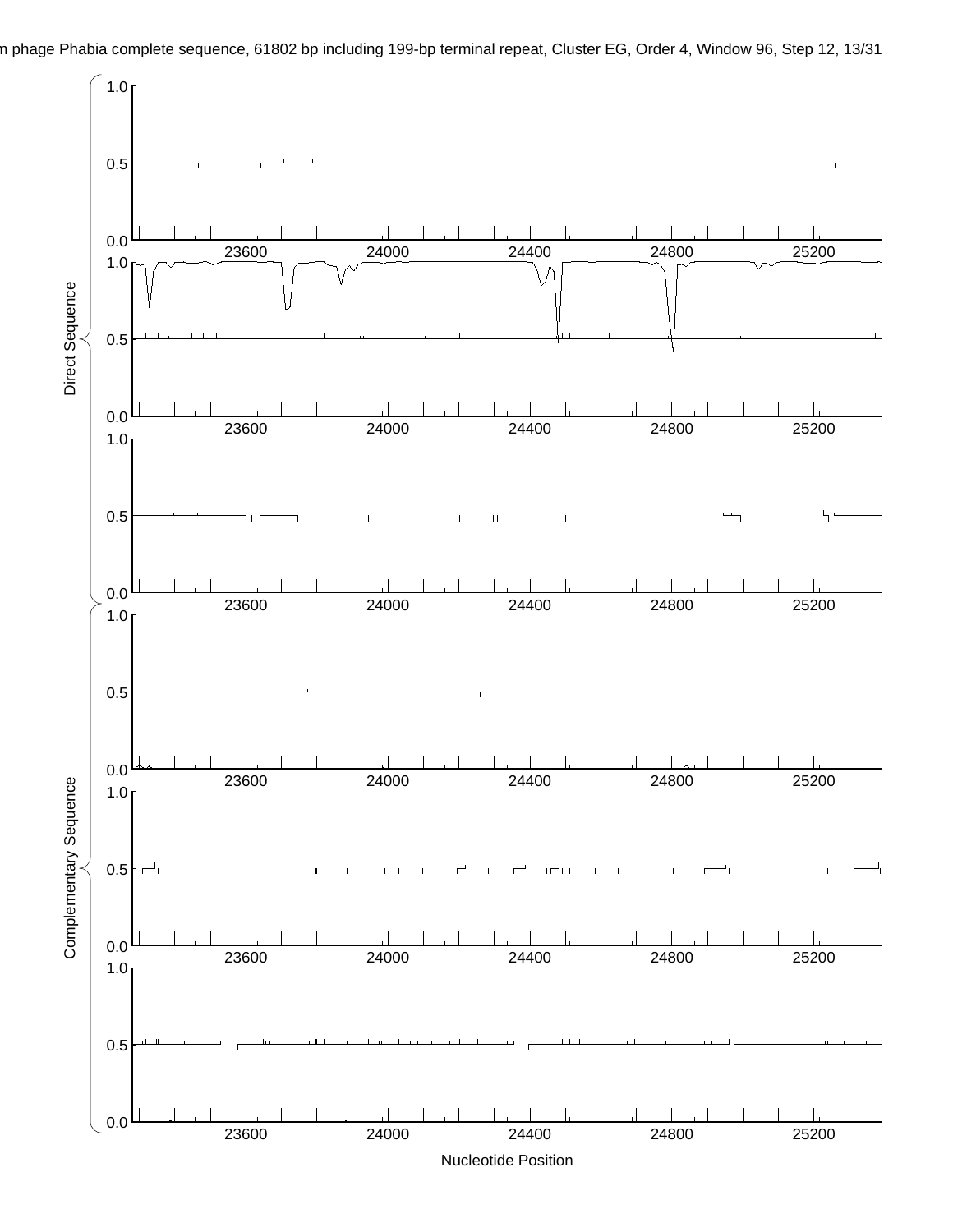n phage Phabia complete sequence, 61802 bp including 199-bp terminal repeat, Cluster EG, Order 4, Window 96, Step 12, 13/31

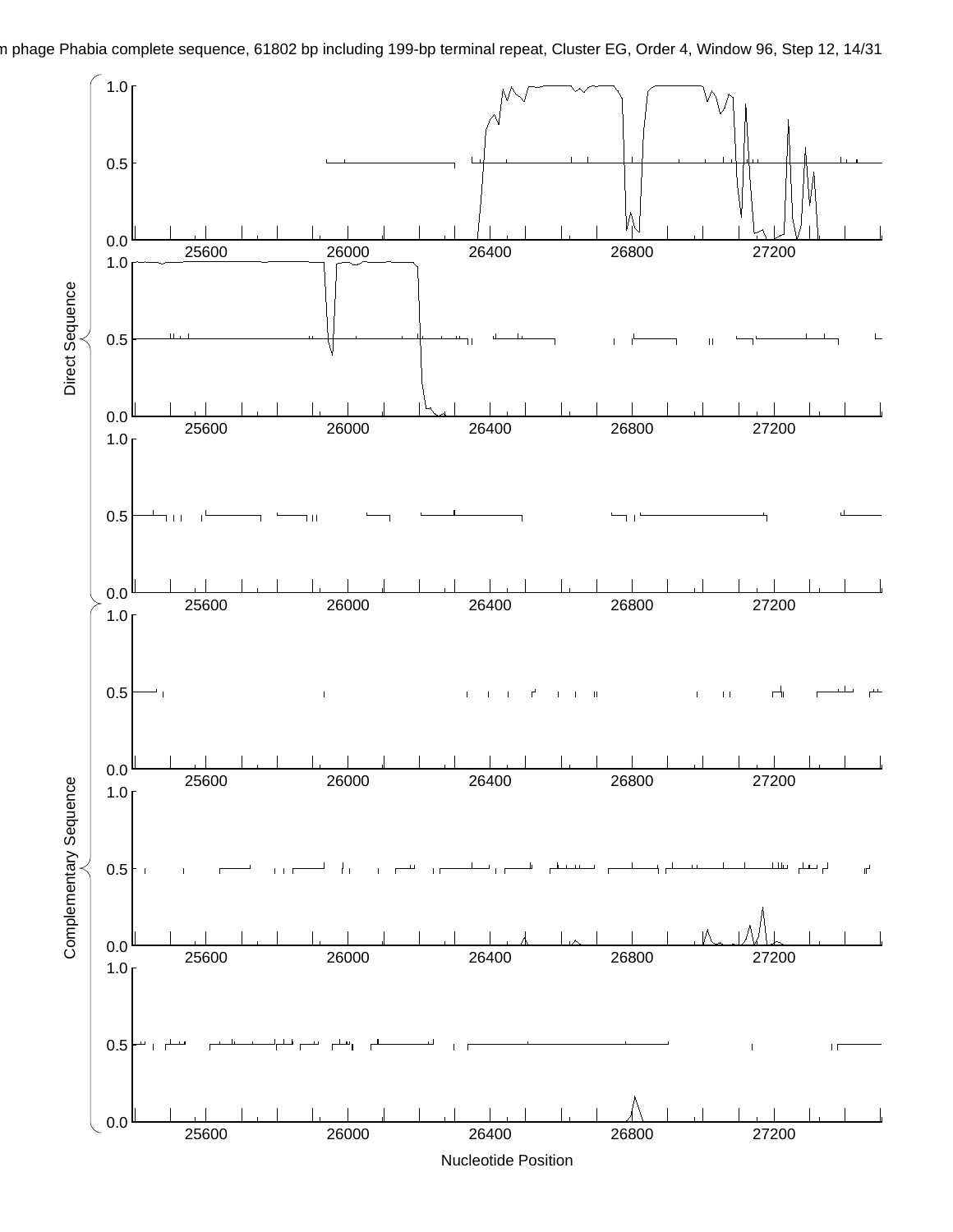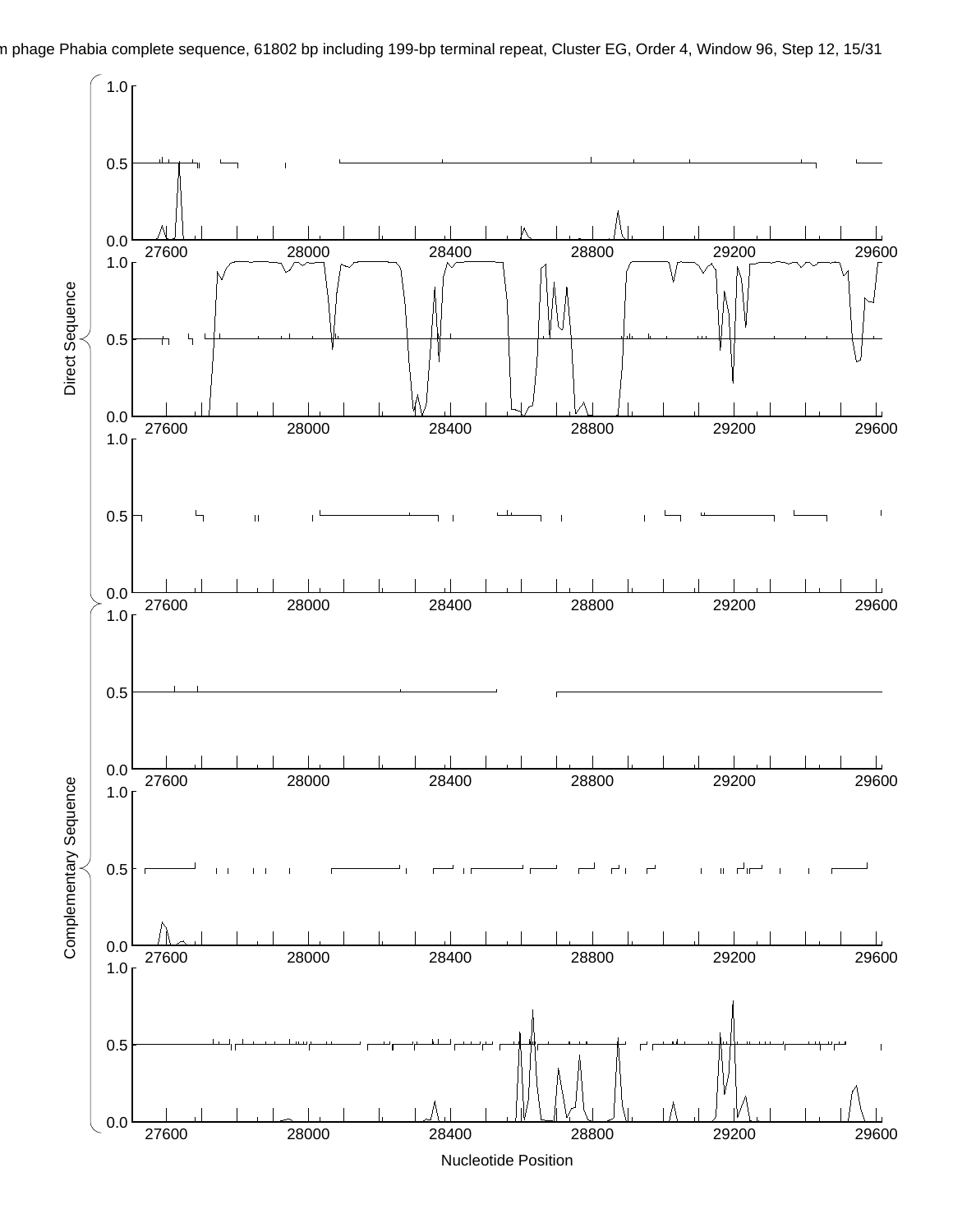

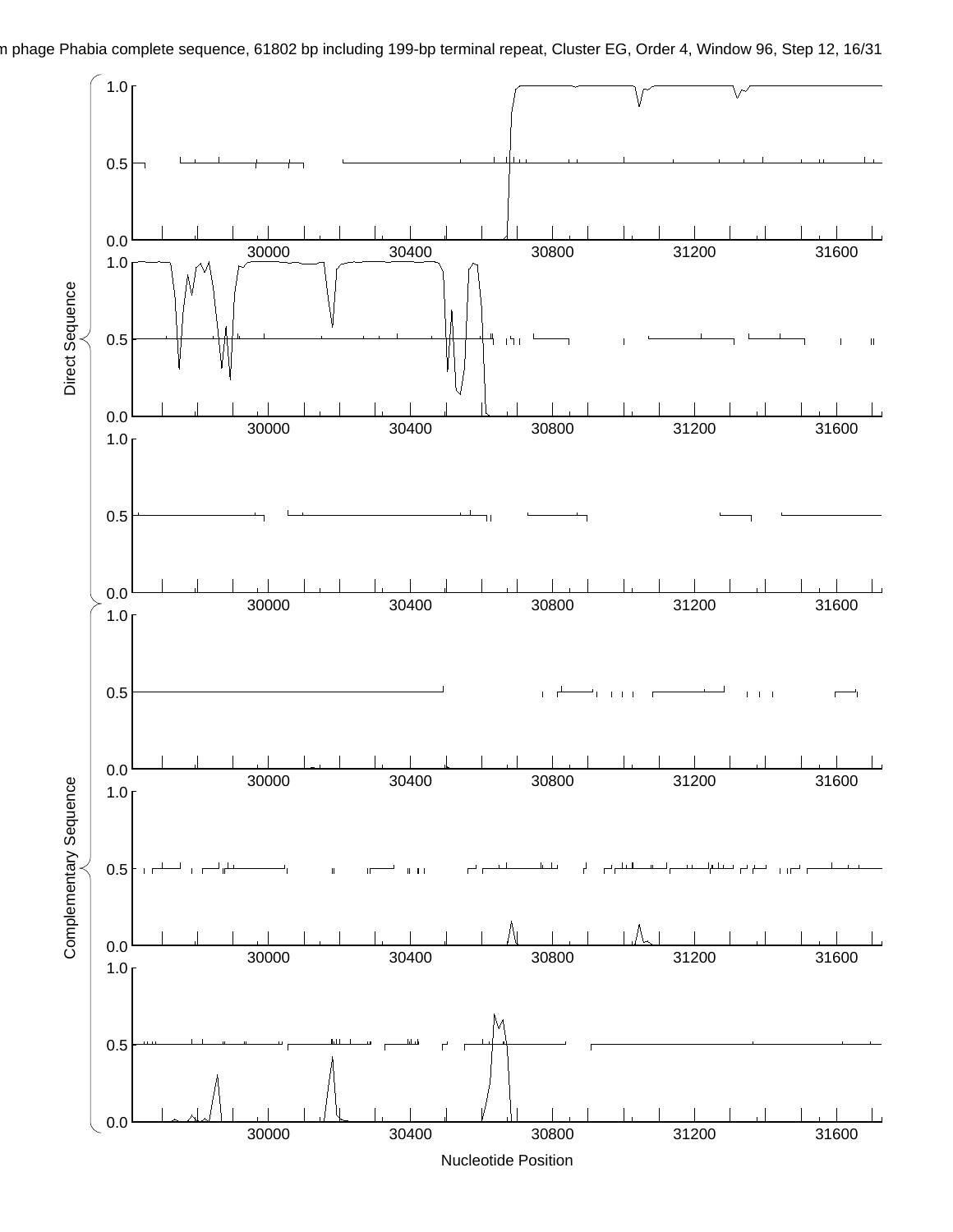

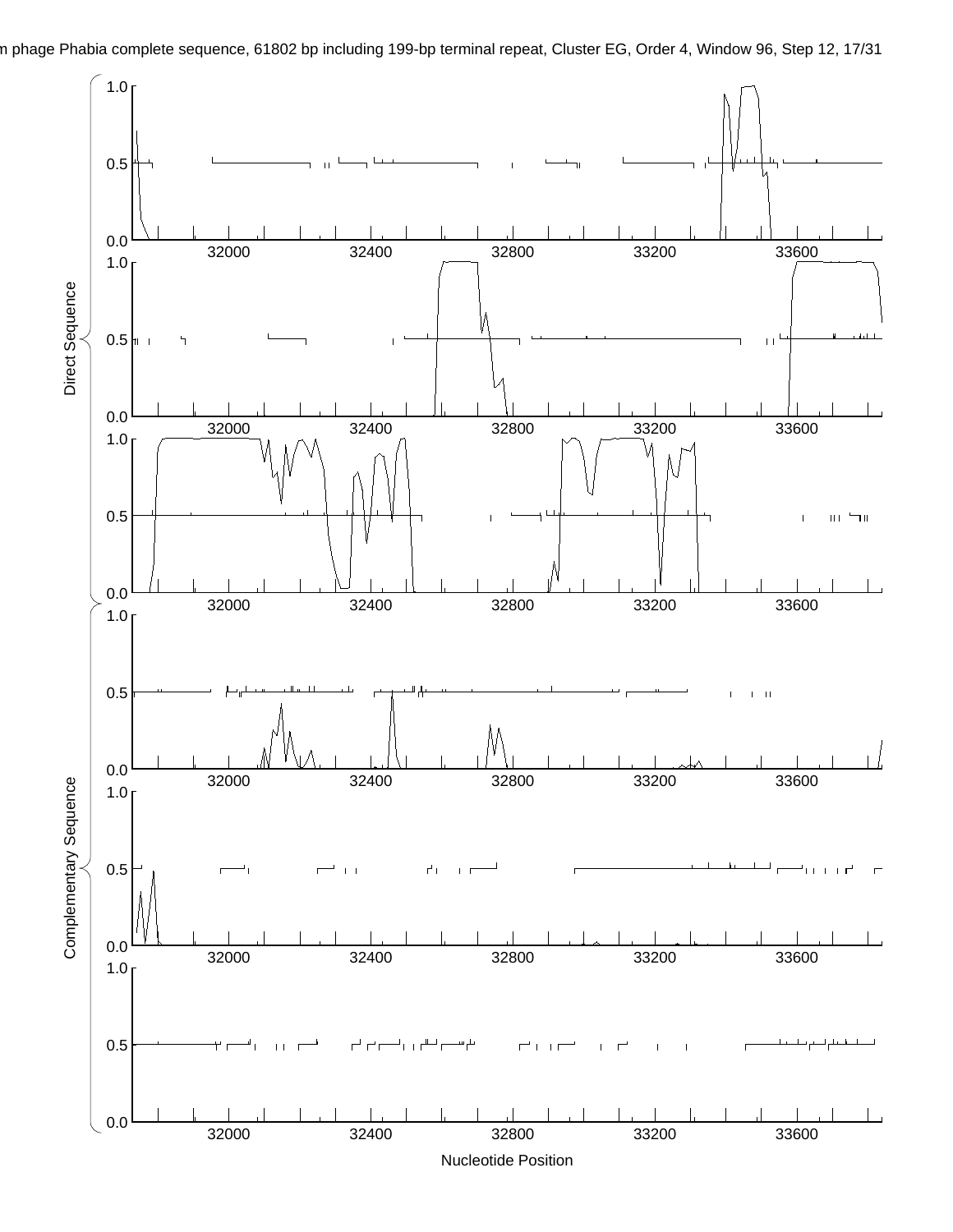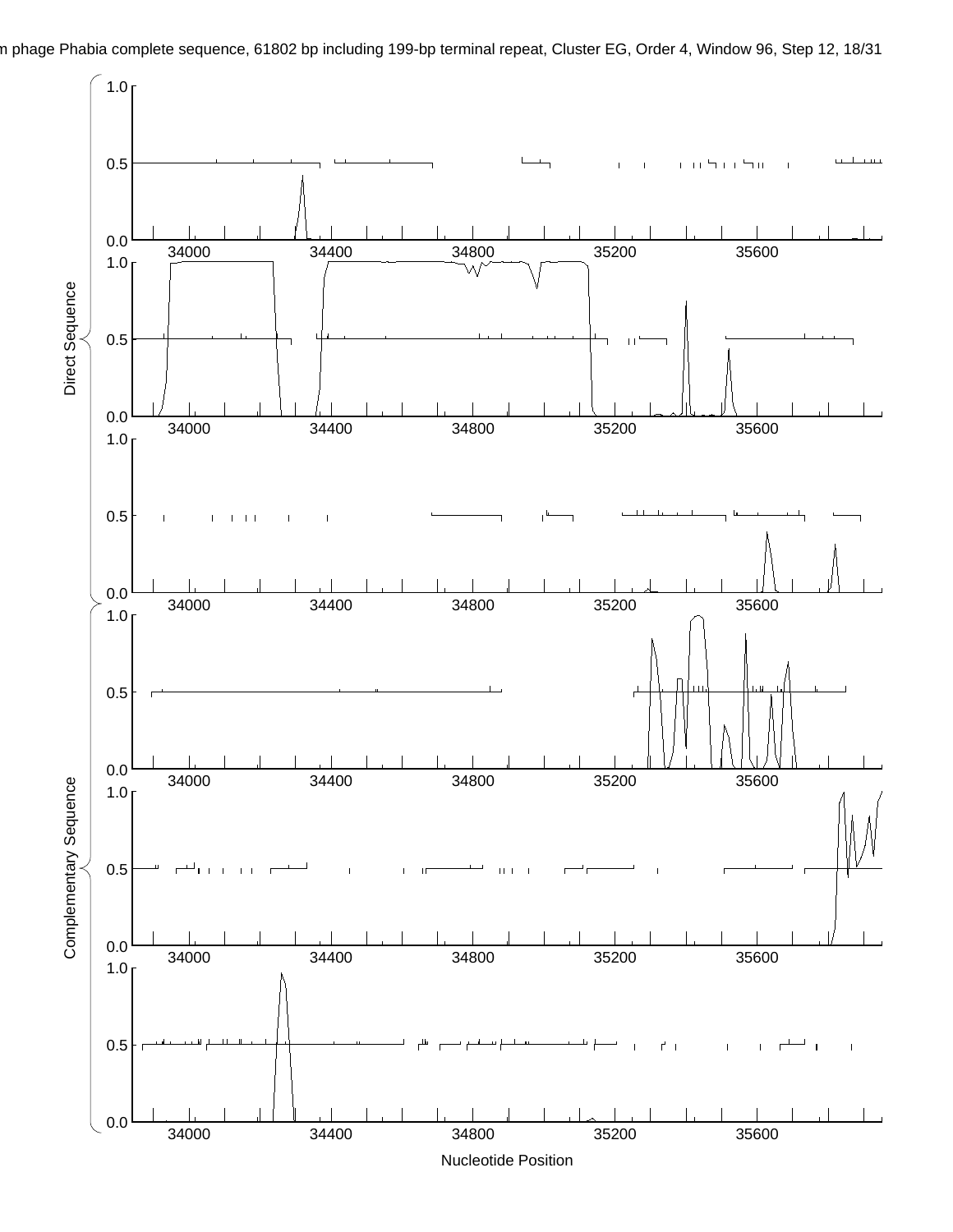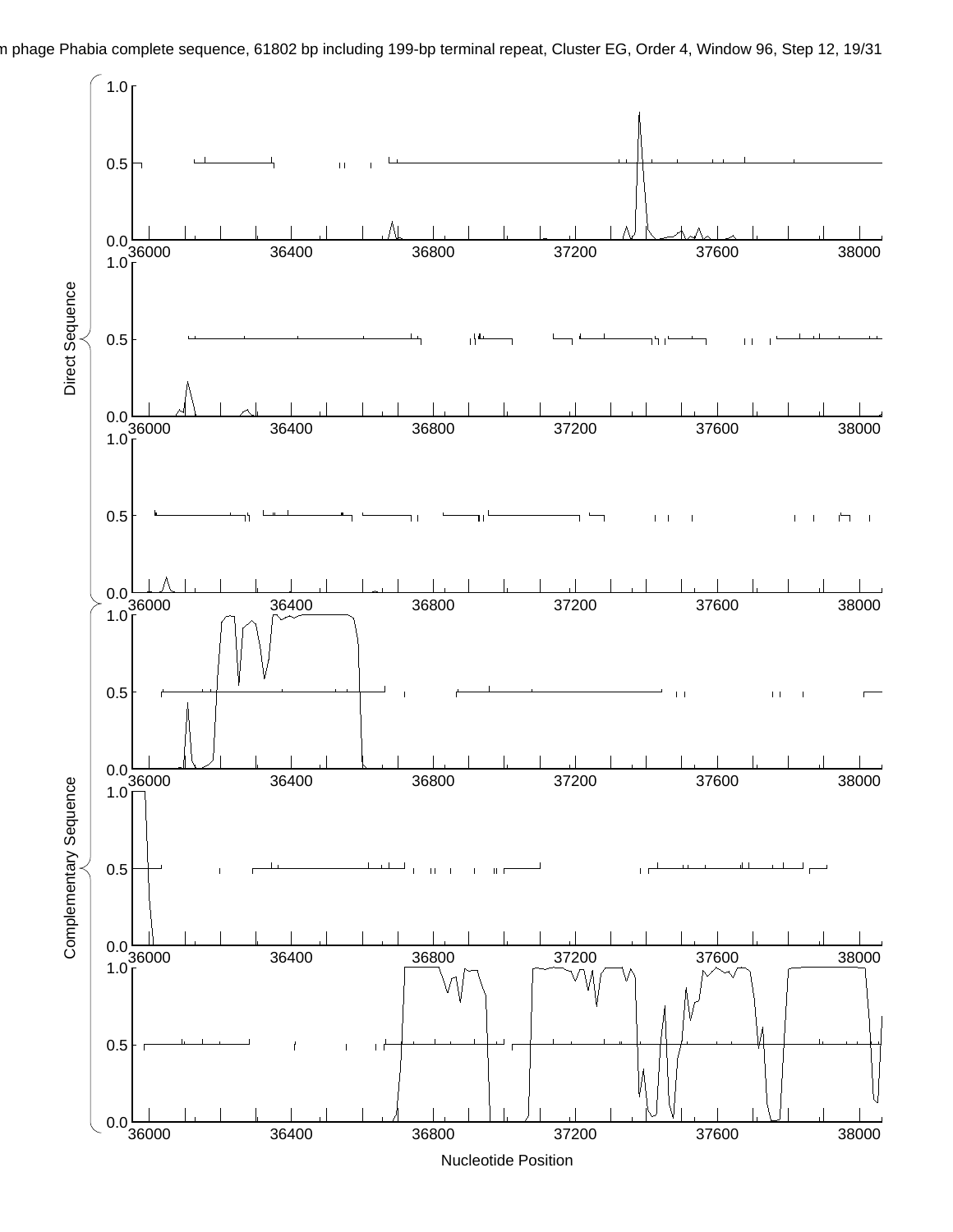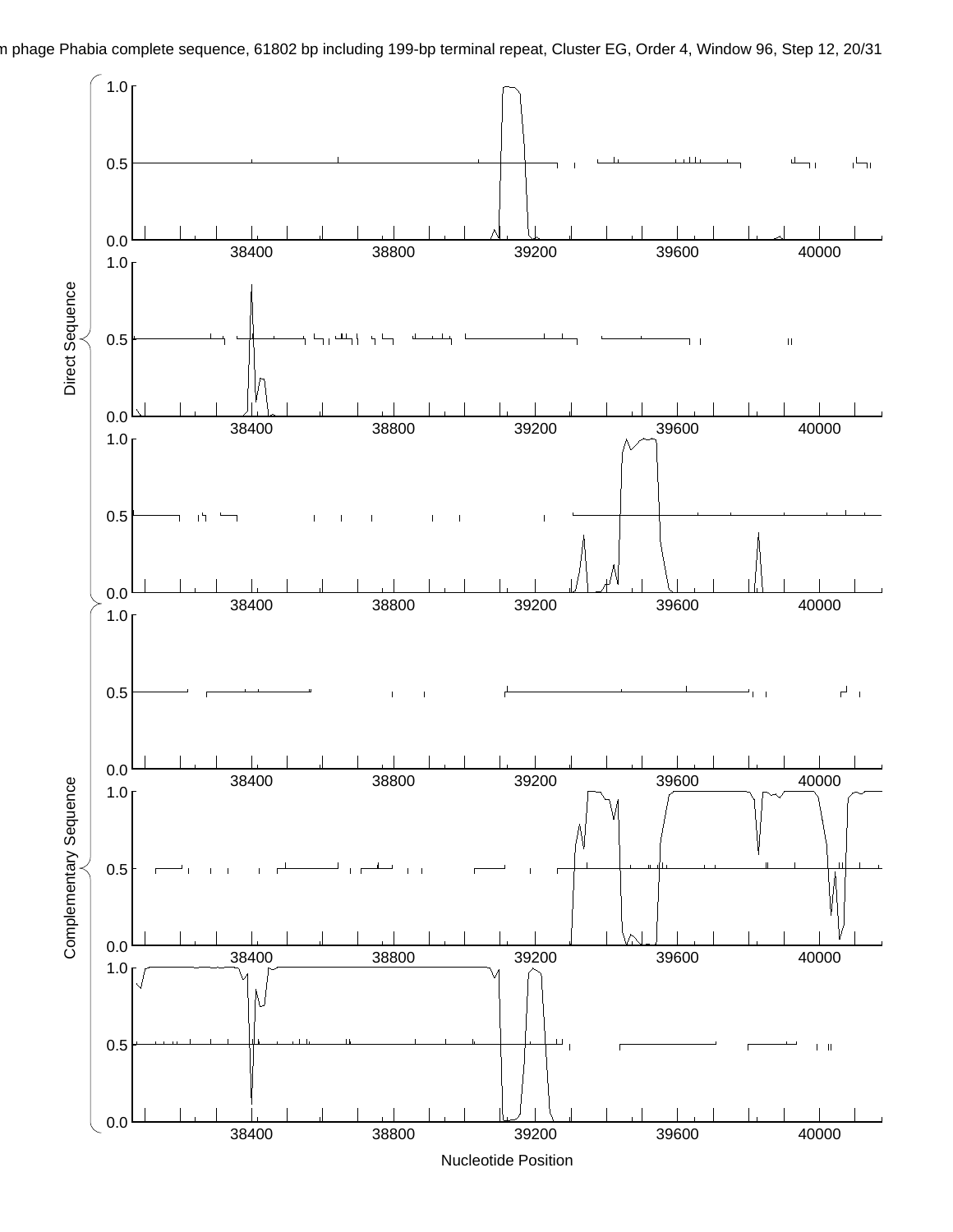

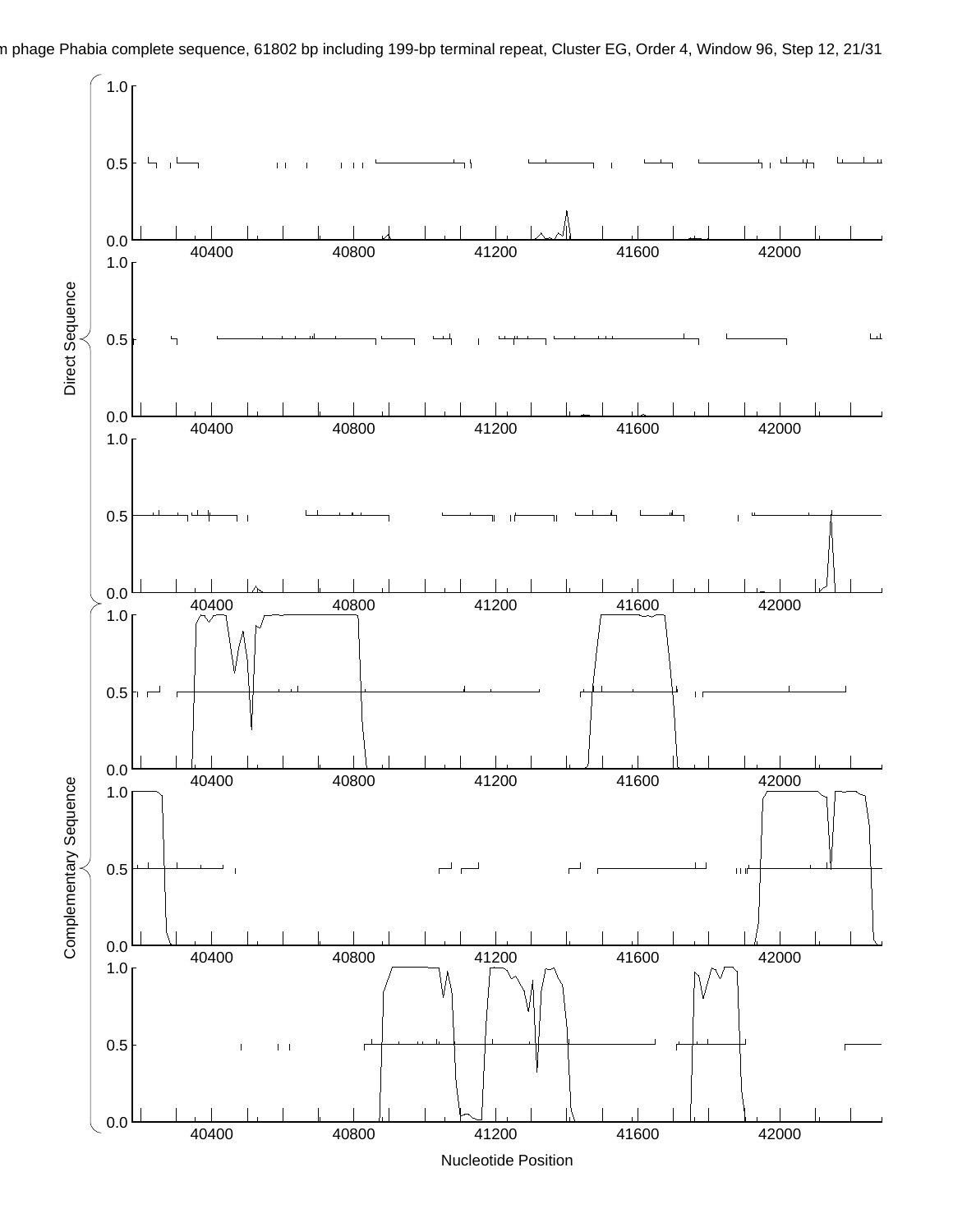

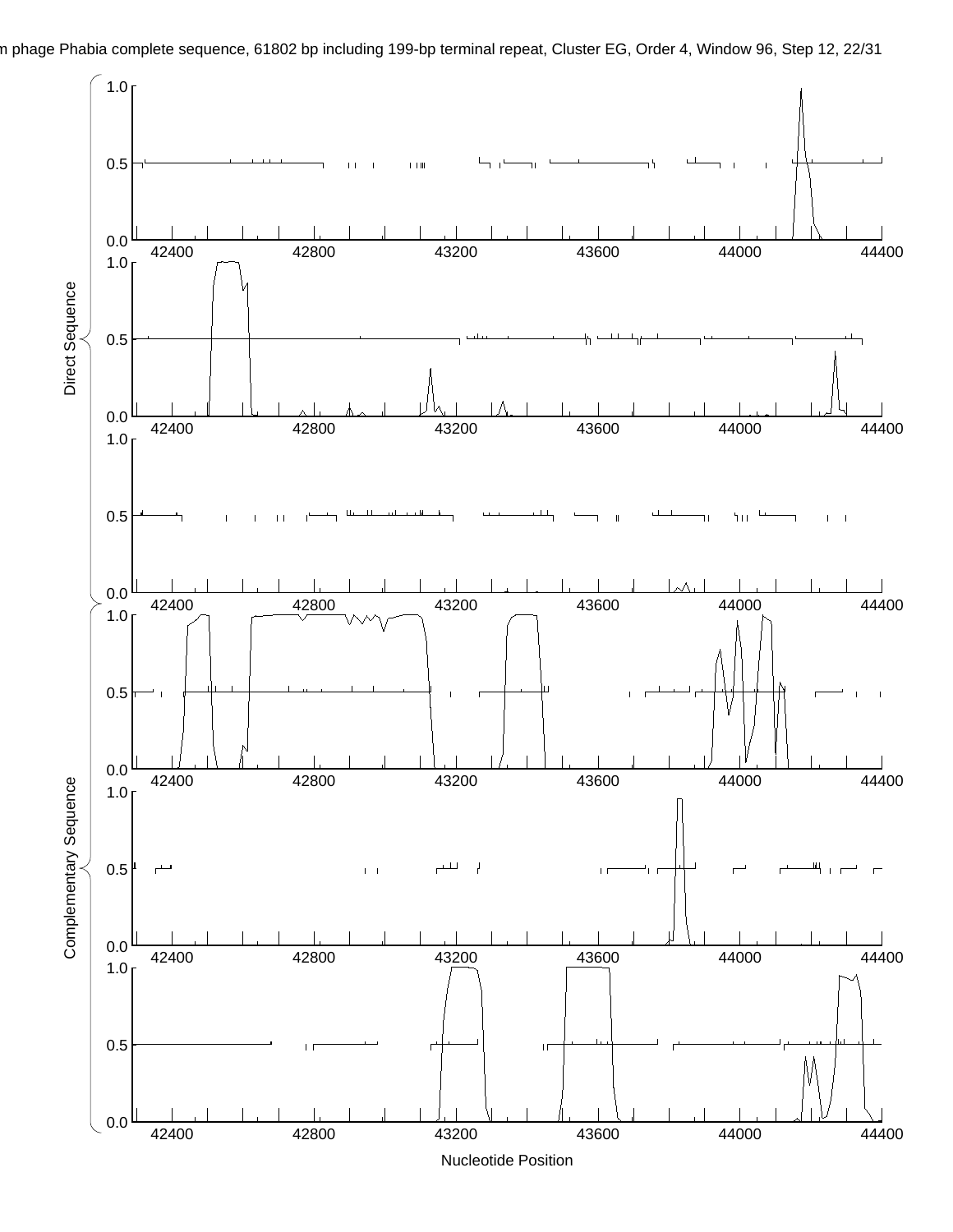

n phage Phabia complete sequence, 61802 bp including 199-bp terminal repeat, Cluster EG, Order 4, Window 96, Step 12, 22/31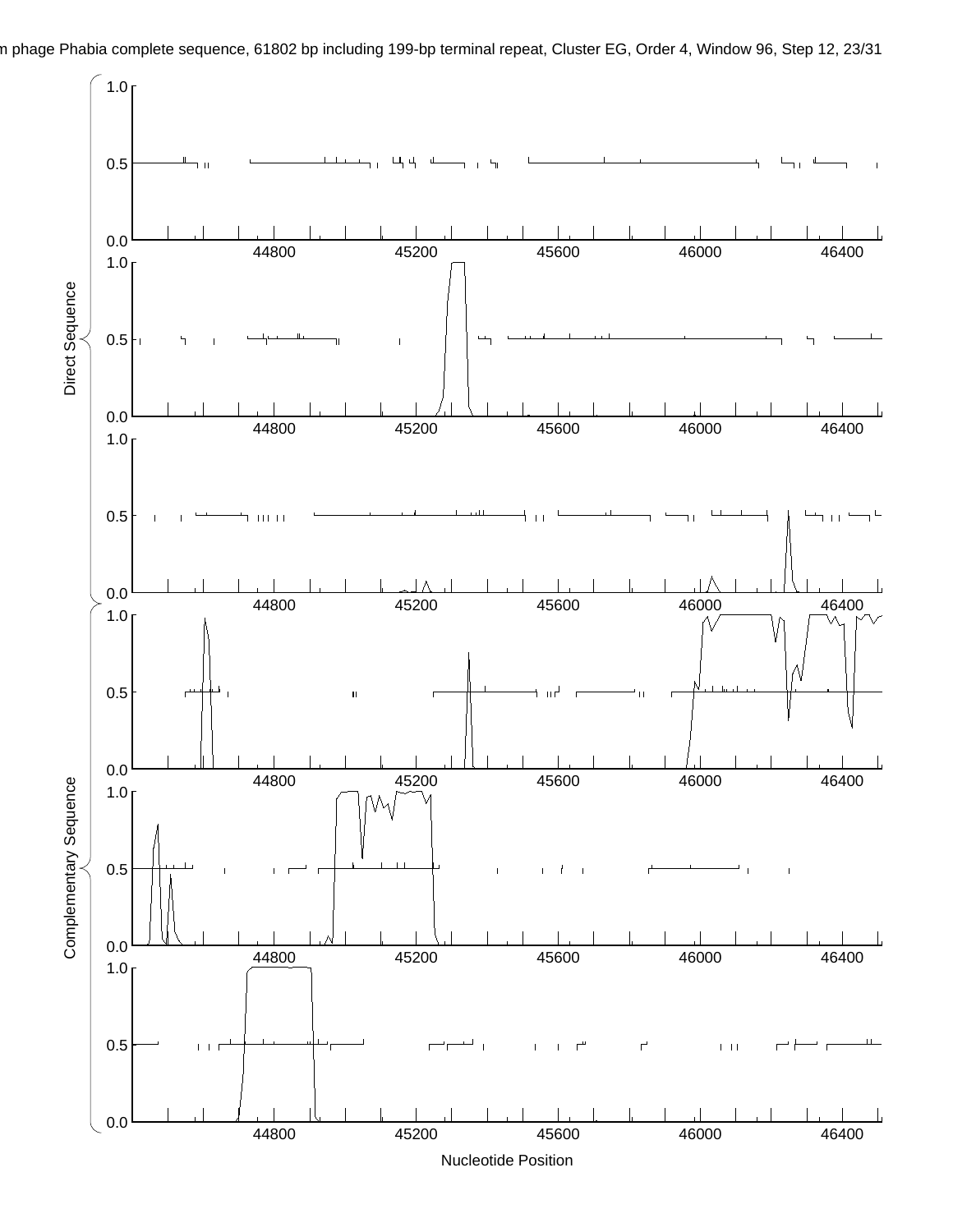

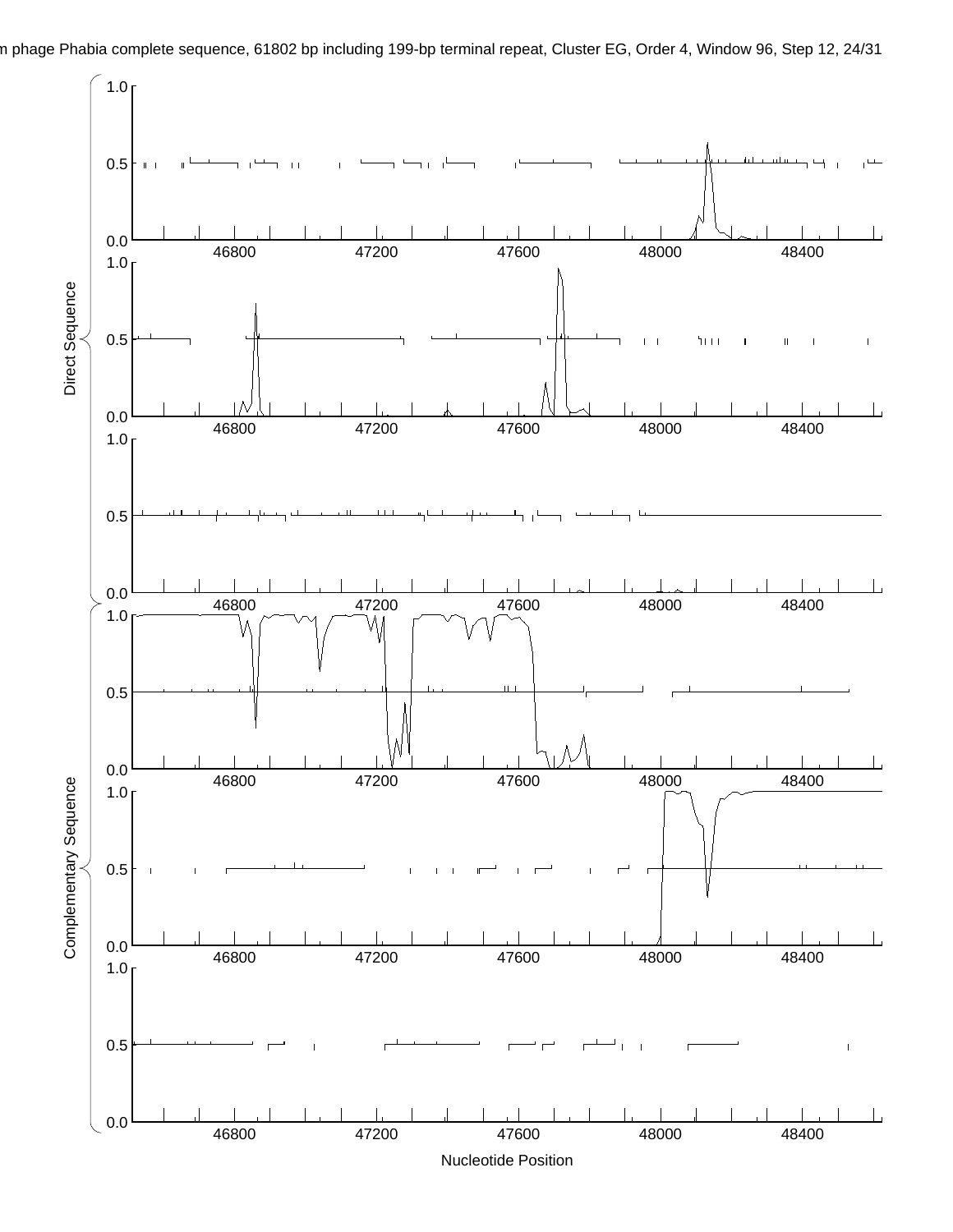

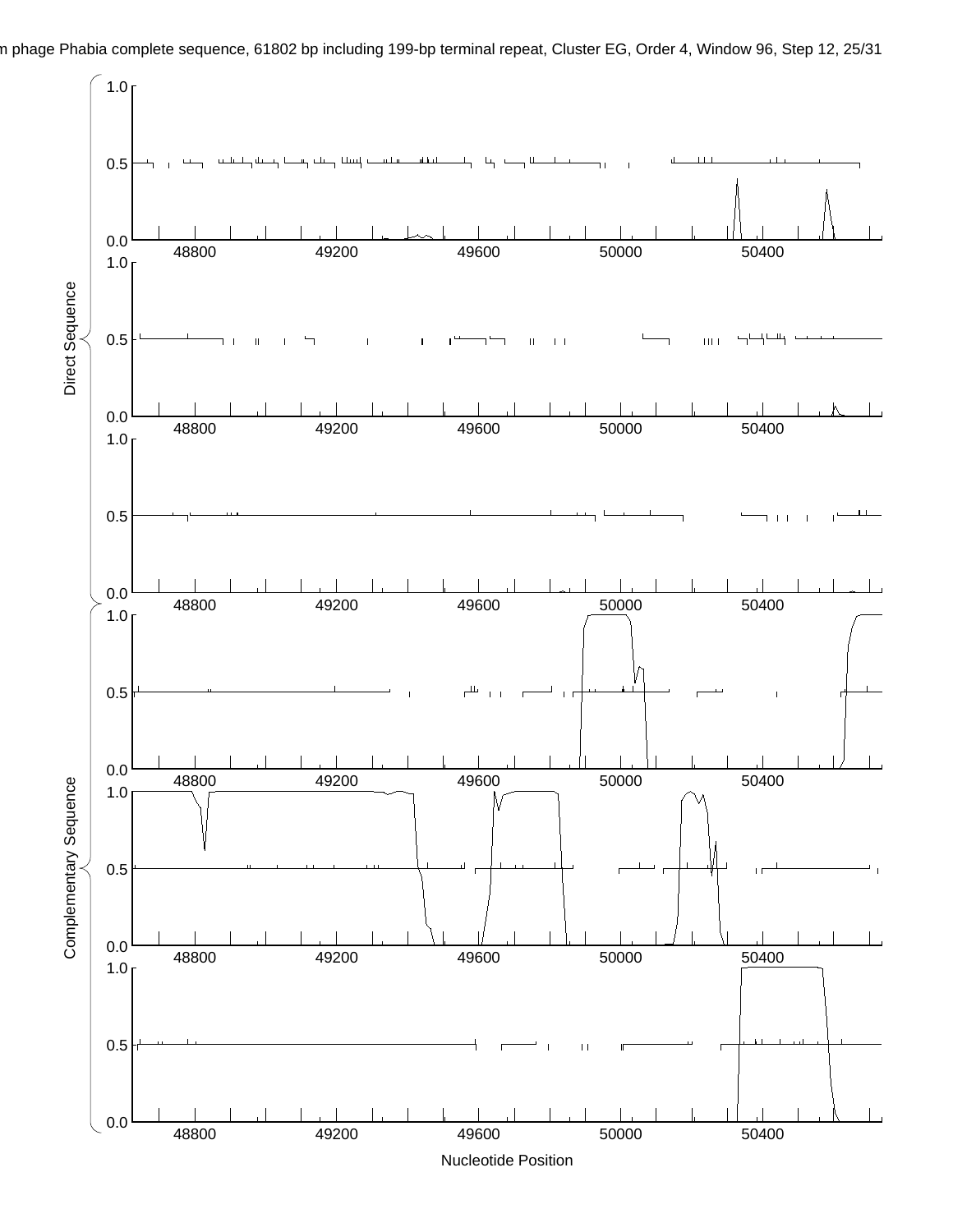

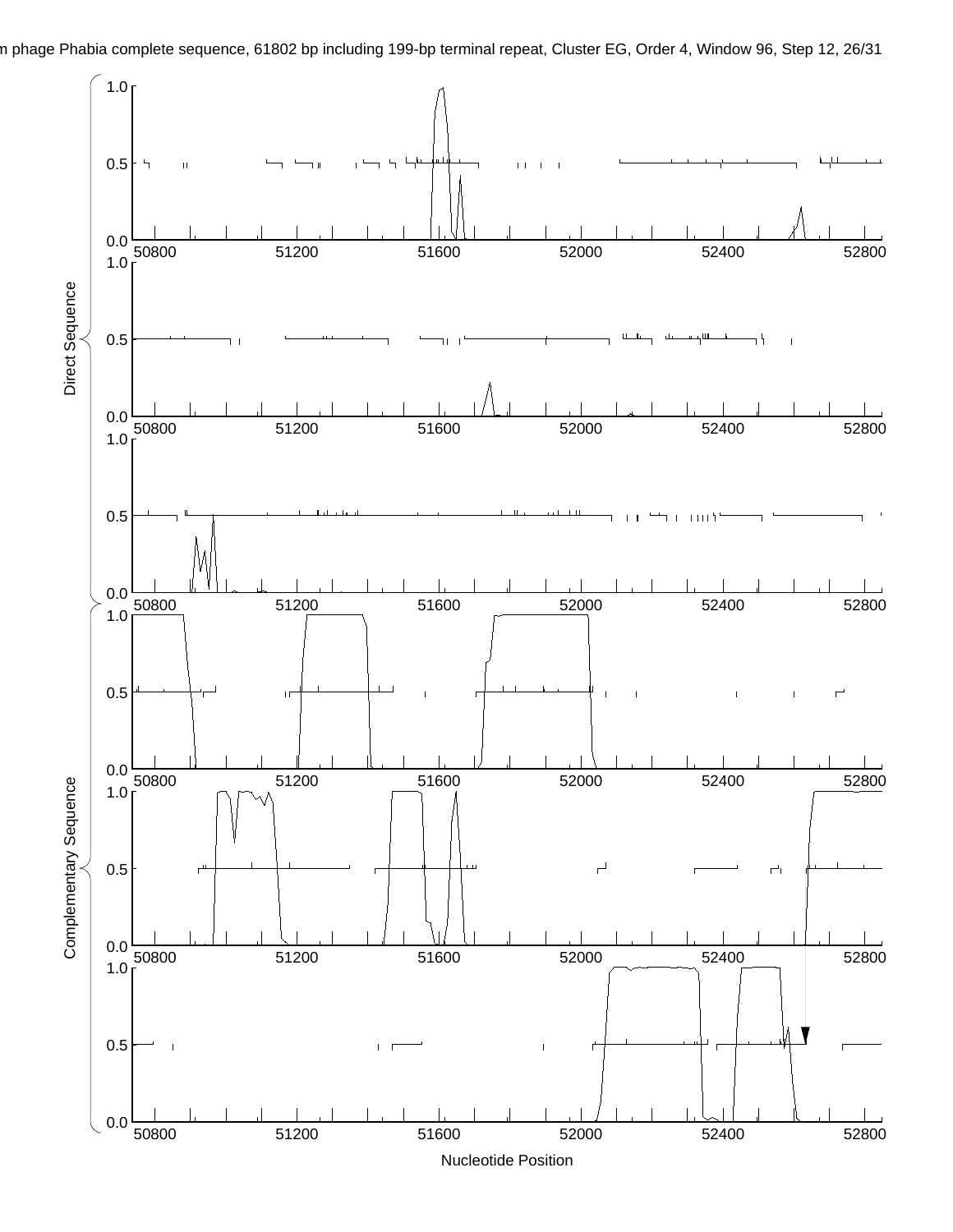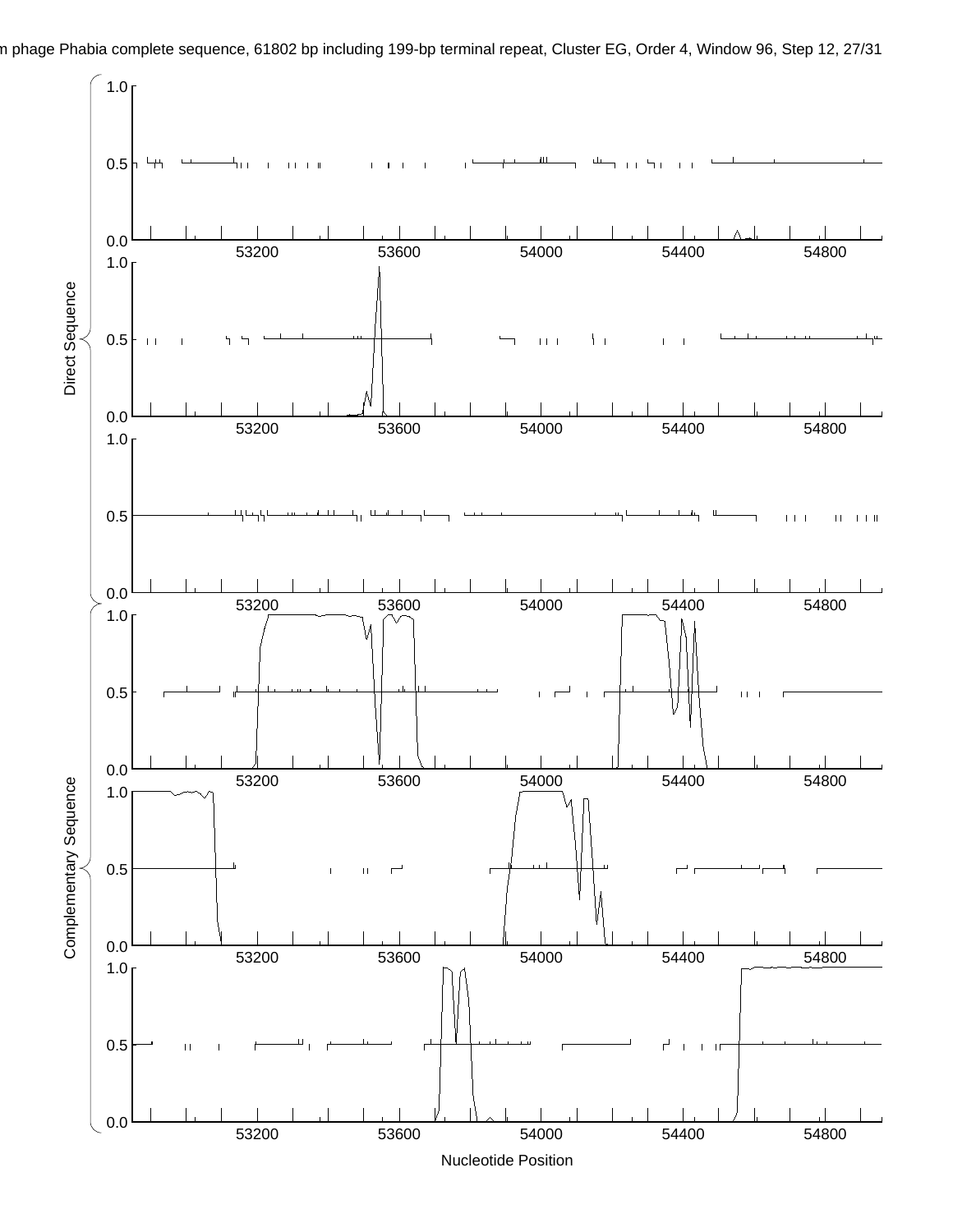n phage Phabia complete sequence, 61802 bp including 199-bp terminal repeat, Cluster EG, Order 4, Window 96, Step 12, 27/31  $1.0<sub>1</sub>$ 0.5 ىبا h

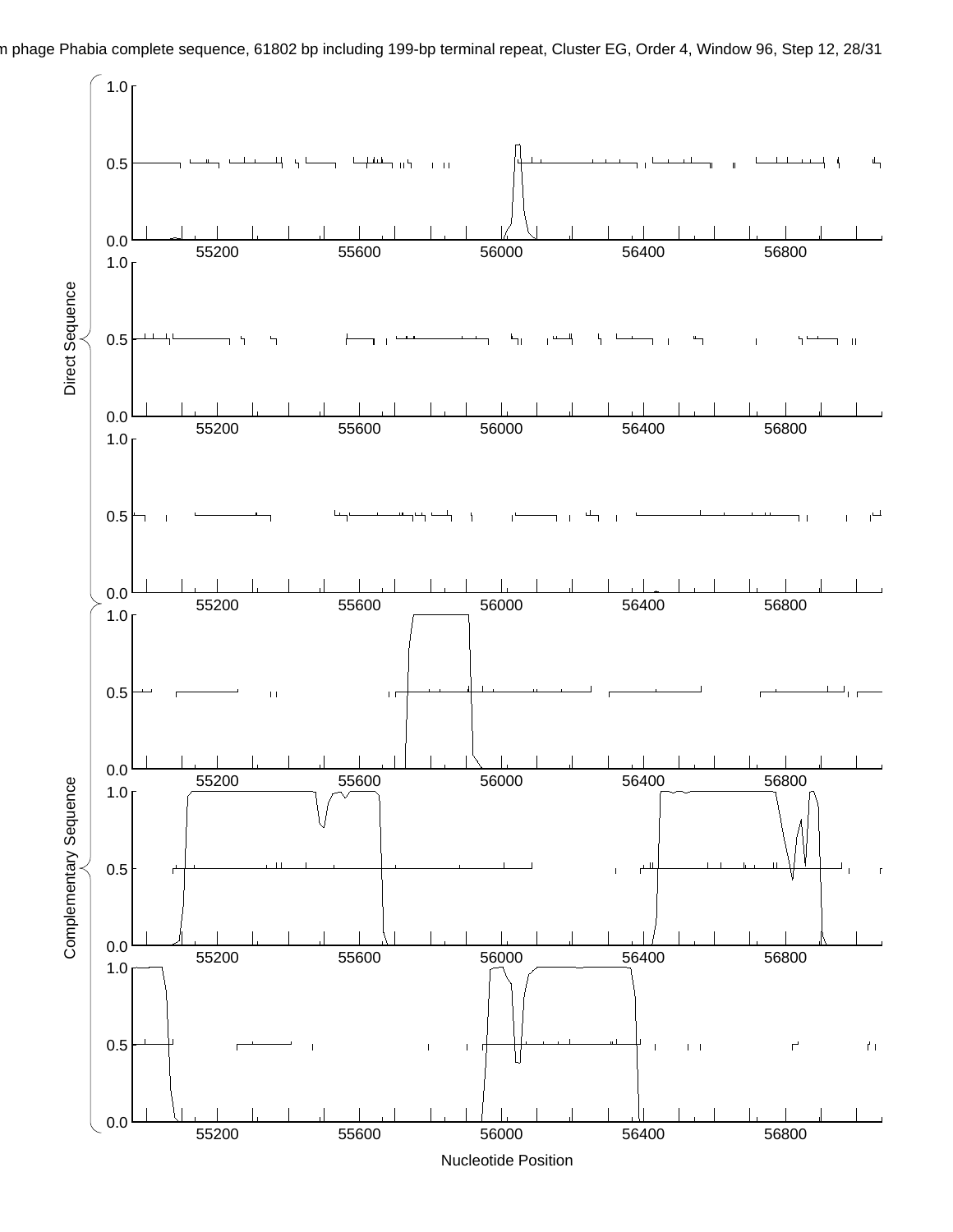

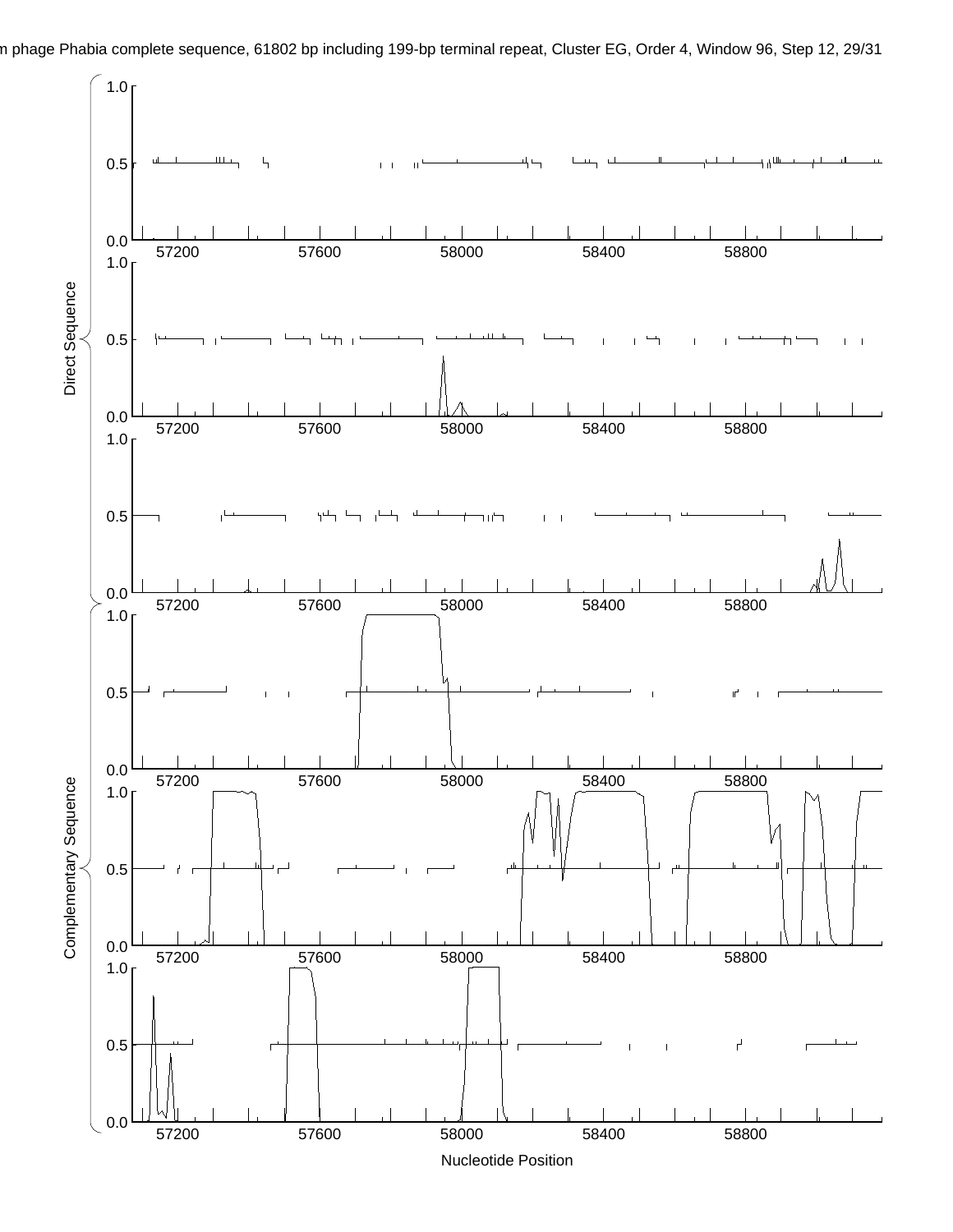

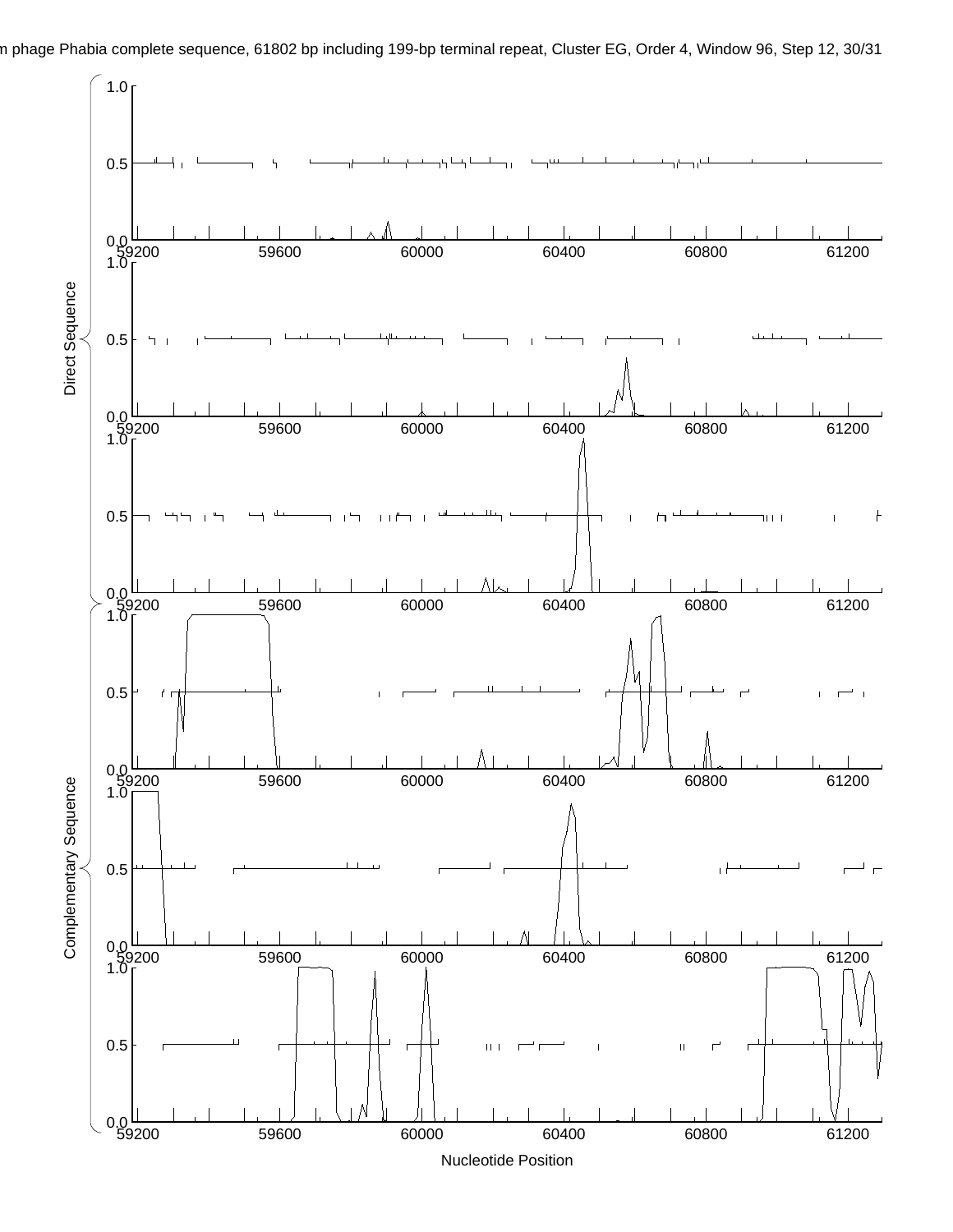n phage Phabia complete sequence, 61802 bp including 199-bp terminal repeat, Cluster EG, Order 4, Window 96, Step 12, 30/31